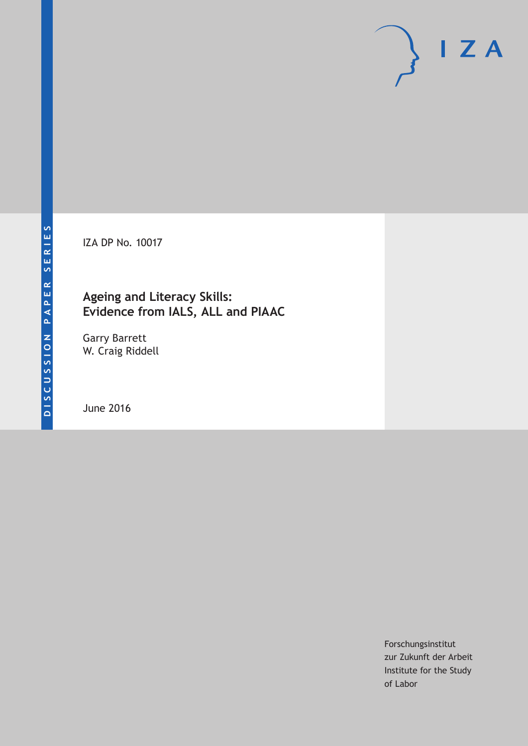IZA DP No. 10017

## **Ageing and Literacy Skills: Evidence from IALS, ALL and PIAAC**

Garry Barrett W. Craig Riddell

June 2016

Forschungsinstitut zur Zukunft der Arbeit Institute for the Study of Labor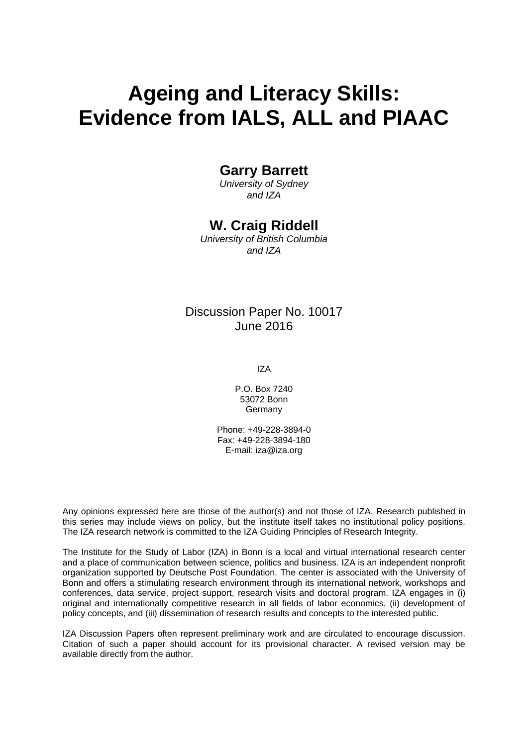# **Ageing and Literacy Skills: Evidence from IALS, ALL and PIAAC**

## **Garry Barrett**

*University of Sydney and IZA* 

## **W. Craig Riddell**

*University of British Columbia and IZA* 

## Discussion Paper No. 10017 June 2016

IZA

P.O. Box 7240 53072 Bonn Germany

Phone: +49-228-3894-0 Fax: +49-228-3894-180 E-mail: iza@iza.org

Any opinions expressed here are those of the author(s) and not those of IZA. Research published in this series may include views on policy, but the institute itself takes no institutional policy positions. The IZA research network is committed to the IZA Guiding Principles of Research Integrity.

The Institute for the Study of Labor (IZA) in Bonn is a local and virtual international research center and a place of communication between science, politics and business. IZA is an independent nonprofit organization supported by Deutsche Post Foundation. The center is associated with the University of Bonn and offers a stimulating research environment through its international network, workshops and conferences, data service, project support, research visits and doctoral program. IZA engages in (i) original and internationally competitive research in all fields of labor economics, (ii) development of policy concepts, and (iii) dissemination of research results and concepts to the interested public.

IZA Discussion Papers often represent preliminary work and are circulated to encourage discussion. Citation of such a paper should account for its provisional character. A revised version may be available directly from the author.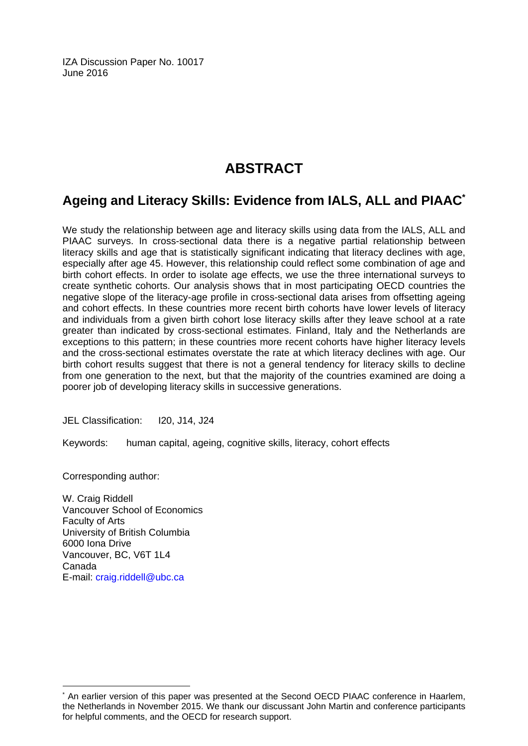IZA Discussion Paper No. 10017 June 2016

## **ABSTRACT**

## **Ageing and Literacy Skills: Evidence from IALS, ALL and PIAAC\***

We study the relationship between age and literacy skills using data from the IALS, ALL and PIAAC surveys. In cross-sectional data there is a negative partial relationship between literacy skills and age that is statistically significant indicating that literacy declines with age, especially after age 45. However, this relationship could reflect some combination of age and birth cohort effects. In order to isolate age effects, we use the three international surveys to create synthetic cohorts. Our analysis shows that in most participating OECD countries the negative slope of the literacy-age profile in cross-sectional data arises from offsetting ageing and cohort effects. In these countries more recent birth cohorts have lower levels of literacy and individuals from a given birth cohort lose literacy skills after they leave school at a rate greater than indicated by cross-sectional estimates. Finland, Italy and the Netherlands are exceptions to this pattern; in these countries more recent cohorts have higher literacy levels and the cross-sectional estimates overstate the rate at which literacy declines with age. Our birth cohort results suggest that there is not a general tendency for literacy skills to decline from one generation to the next, but that the majority of the countries examined are doing a poorer job of developing literacy skills in successive generations.

JEL Classification: I20, J14, J24

Keywords: human capital, ageing, cognitive skills, literacy, cohort effects

Corresponding author:

 $\overline{a}$ 

W. Craig Riddell Vancouver School of Economics Faculty of Arts University of British Columbia 6000 Iona Drive Vancouver, BC, V6T 1L4 Canada E-mail: craig.riddell@ubc.ca

<sup>\*</sup> An earlier version of this paper was presented at the Second OECD PIAAC conference in Haarlem, the Netherlands in November 2015. We thank our discussant John Martin and conference participants for helpful comments, and the OECD for research support.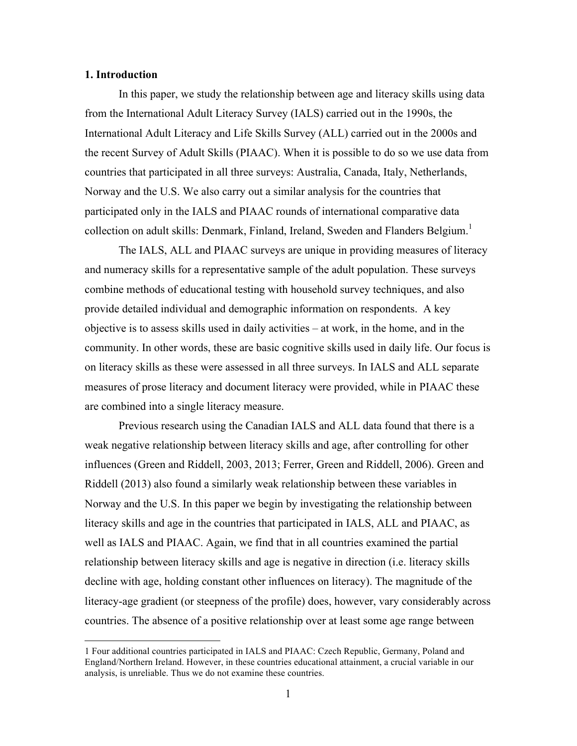#### **1. Introduction**

In this paper, we study the relationship between age and literacy skills using data from the International Adult Literacy Survey (IALS) carried out in the 1990s, the International Adult Literacy and Life Skills Survey (ALL) carried out in the 2000s and the recent Survey of Adult Skills (PIAAC). When it is possible to do so we use data from countries that participated in all three surveys: Australia, Canada, Italy, Netherlands, Norway and the U.S. We also carry out a similar analysis for the countries that participated only in the IALS and PIAAC rounds of international comparative data collection on adult skills: Denmark, Finland, Ireland, Sweden and Flanders Belgium.<sup>1</sup>

The IALS, ALL and PIAAC surveys are unique in providing measures of literacy and numeracy skills for a representative sample of the adult population. These surveys combine methods of educational testing with household survey techniques, and also provide detailed individual and demographic information on respondents. A key objective is to assess skills used in daily activities – at work, in the home, and in the community. In other words, these are basic cognitive skills used in daily life. Our focus is on literacy skills as these were assessed in all three surveys. In IALS and ALL separate measures of prose literacy and document literacy were provided, while in PIAAC these are combined into a single literacy measure.

Previous research using the Canadian IALS and ALL data found that there is a weak negative relationship between literacy skills and age, after controlling for other influences (Green and Riddell, 2003, 2013; Ferrer, Green and Riddell, 2006). Green and Riddell (2013) also found a similarly weak relationship between these variables in Norway and the U.S. In this paper we begin by investigating the relationship between literacy skills and age in the countries that participated in IALS, ALL and PIAAC, as well as IALS and PIAAC. Again, we find that in all countries examined the partial relationship between literacy skills and age is negative in direction (i.e. literacy skills decline with age, holding constant other influences on literacy). The magnitude of the literacy-age gradient (or steepness of the profile) does, however, vary considerably across countries. The absence of a positive relationship over at least some age range between

 <sup>1</sup> Four additional countries participated in IALS and PIAAC: Czech Republic, Germany, Poland and England/Northern Ireland. However, in these countries educational attainment, a crucial variable in our analysis, is unreliable. Thus we do not examine these countries.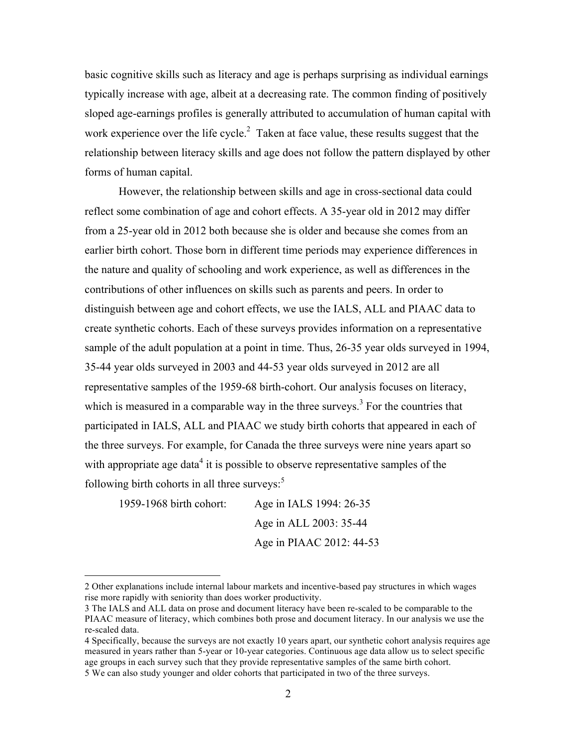basic cognitive skills such as literacy and age is perhaps surprising as individual earnings typically increase with age, albeit at a decreasing rate. The common finding of positively sloped age-earnings profiles is generally attributed to accumulation of human capital with work experience over the life cycle.<sup>2</sup> Taken at face value, these results suggest that the relationship between literacy skills and age does not follow the pattern displayed by other forms of human capital.

However, the relationship between skills and age in cross-sectional data could reflect some combination of age and cohort effects. A 35-year old in 2012 may differ from a 25-year old in 2012 both because she is older and because she comes from an earlier birth cohort. Those born in different time periods may experience differences in the nature and quality of schooling and work experience, as well as differences in the contributions of other influences on skills such as parents and peers. In order to distinguish between age and cohort effects, we use the IALS, ALL and PIAAC data to create synthetic cohorts. Each of these surveys provides information on a representative sample of the adult population at a point in time. Thus, 26-35 year olds surveyed in 1994, 35-44 year olds surveyed in 2003 and 44-53 year olds surveyed in 2012 are all representative samples of the 1959-68 birth-cohort. Our analysis focuses on literacy, which is measured in a comparable way in the three surveys.<sup>3</sup> For the countries that participated in IALS, ALL and PIAAC we study birth cohorts that appeared in each of the three surveys. For example, for Canada the three surveys were nine years apart so with appropriate age data<sup>4</sup> it is possible to observe representative samples of the following birth cohorts in all three surveys:<sup>5</sup>

1959-1968 birth cohort: Age in IALS 1994: 26-35 Age in ALL 2003: 35-44 Age in PIAAC 2012: 44-53

 $\overline{a}$ 

<sup>2</sup> Other explanations include internal labour markets and incentive-based pay structures in which wages rise more rapidly with seniority than does worker productivity.

<sup>3</sup> The IALS and ALL data on prose and document literacy have been re-scaled to be comparable to the PIAAC measure of literacy, which combines both prose and document literacy. In our analysis we use the re-scaled data.

<sup>4</sup> Specifically, because the surveys are not exactly 10 years apart, our synthetic cohort analysis requires age measured in years rather than 5-year or 10-year categories. Continuous age data allow us to select specific age groups in each survey such that they provide representative samples of the same birth cohort. 5 We can also study younger and older cohorts that participated in two of the three surveys.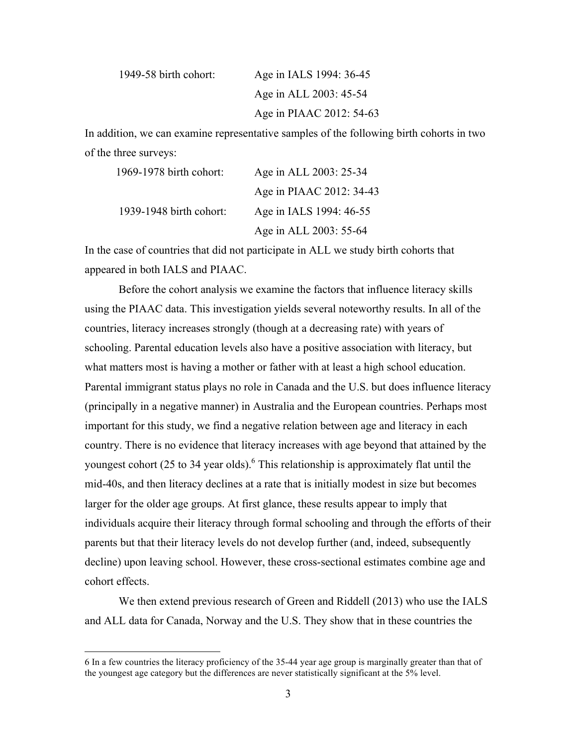| 1949-58 birth cohort: | Age in IALS 1994: 36-45  |
|-----------------------|--------------------------|
|                       | Age in ALL 2003: 45-54   |
|                       | Age in PIAAC 2012: 54-63 |

In addition, we can examine representative samples of the following birth cohorts in two of the three surveys:

| 1969-1978 birth cohort: | Age in ALL 2003: 25-34   |
|-------------------------|--------------------------|
|                         | Age in PIAAC 2012: 34-43 |
| 1939-1948 birth cohort: | Age in IALS 1994: 46-55  |
|                         | Age in ALL 2003: 55-64   |

In the case of countries that did not participate in ALL we study birth cohorts that appeared in both IALS and PIAAC.

Before the cohort analysis we examine the factors that influence literacy skills using the PIAAC data. This investigation yields several noteworthy results. In all of the countries, literacy increases strongly (though at a decreasing rate) with years of schooling. Parental education levels also have a positive association with literacy, but what matters most is having a mother or father with at least a high school education. Parental immigrant status plays no role in Canada and the U.S. but does influence literacy (principally in a negative manner) in Australia and the European countries. Perhaps most important for this study, we find a negative relation between age and literacy in each country. There is no evidence that literacy increases with age beyond that attained by the youngest cohort (25 to 34 year olds).<sup>6</sup> This relationship is approximately flat until the mid-40s, and then literacy declines at a rate that is initially modest in size but becomes larger for the older age groups. At first glance, these results appear to imply that individuals acquire their literacy through formal schooling and through the efforts of their parents but that their literacy levels do not develop further (and, indeed, subsequently decline) upon leaving school. However, these cross-sectional estimates combine age and cohort effects.

We then extend previous research of Green and Riddell (2013) who use the IALS and ALL data for Canada, Norway and the U.S. They show that in these countries the

 <sup>6</sup> In a few countries the literacy proficiency of the 35-44 year age group is marginally greater than that of the youngest age category but the differences are never statistically significant at the 5% level.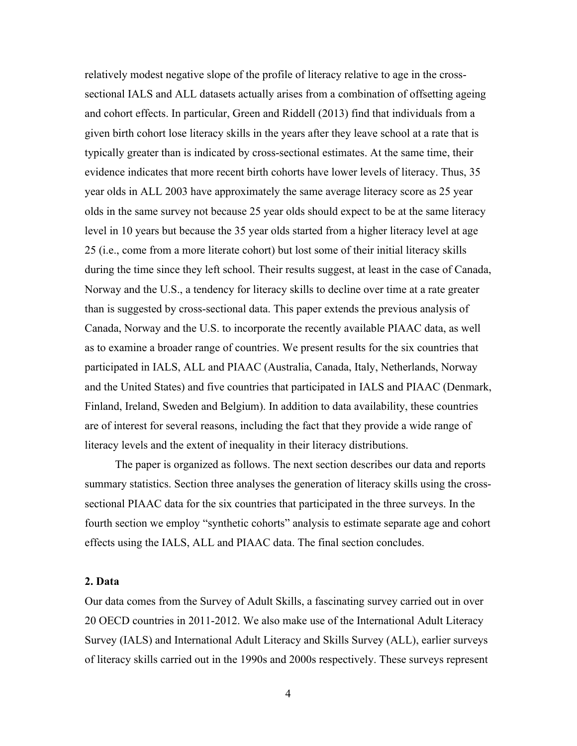relatively modest negative slope of the profile of literacy relative to age in the crosssectional IALS and ALL datasets actually arises from a combination of offsetting ageing and cohort effects. In particular, Green and Riddell (2013) find that individuals from a given birth cohort lose literacy skills in the years after they leave school at a rate that is typically greater than is indicated by cross-sectional estimates. At the same time, their evidence indicates that more recent birth cohorts have lower levels of literacy. Thus, 35 year olds in ALL 2003 have approximately the same average literacy score as 25 year olds in the same survey not because 25 year olds should expect to be at the same literacy level in 10 years but because the 35 year olds started from a higher literacy level at age 25 (i.e., come from a more literate cohort) but lost some of their initial literacy skills during the time since they left school. Their results suggest, at least in the case of Canada, Norway and the U.S., a tendency for literacy skills to decline over time at a rate greater than is suggested by cross-sectional data. This paper extends the previous analysis of Canada, Norway and the U.S. to incorporate the recently available PIAAC data, as well as to examine a broader range of countries. We present results for the six countries that participated in IALS, ALL and PIAAC (Australia, Canada, Italy, Netherlands, Norway and the United States) and five countries that participated in IALS and PIAAC (Denmark, Finland, Ireland, Sweden and Belgium). In addition to data availability, these countries are of interest for several reasons, including the fact that they provide a wide range of literacy levels and the extent of inequality in their literacy distributions.

The paper is organized as follows. The next section describes our data and reports summary statistics. Section three analyses the generation of literacy skills using the crosssectional PIAAC data for the six countries that participated in the three surveys. In the fourth section we employ "synthetic cohorts" analysis to estimate separate age and cohort effects using the IALS, ALL and PIAAC data. The final section concludes.

### **2. Data**

Our data comes from the Survey of Adult Skills, a fascinating survey carried out in over 20 OECD countries in 2011-2012. We also make use of the International Adult Literacy Survey (IALS) and International Adult Literacy and Skills Survey (ALL), earlier surveys of literacy skills carried out in the 1990s and 2000s respectively. These surveys represent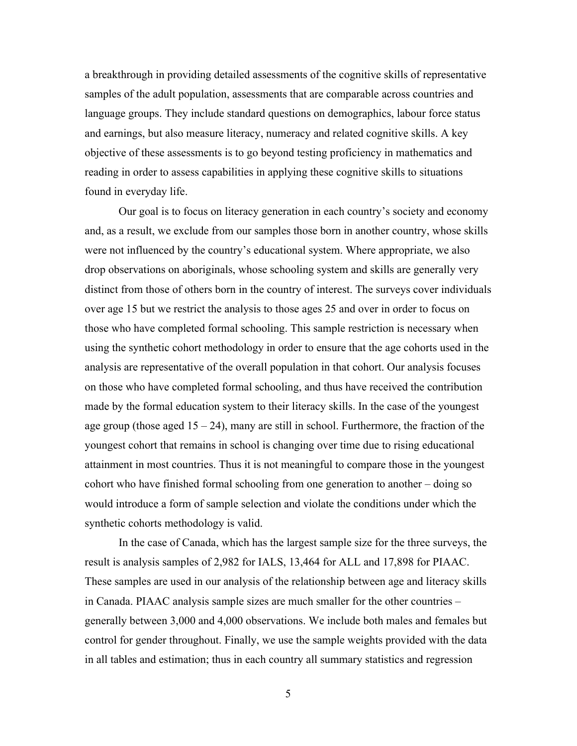a breakthrough in providing detailed assessments of the cognitive skills of representative samples of the adult population, assessments that are comparable across countries and language groups. They include standard questions on demographics, labour force status and earnings, but also measure literacy, numeracy and related cognitive skills. A key objective of these assessments is to go beyond testing proficiency in mathematics and reading in order to assess capabilities in applying these cognitive skills to situations found in everyday life.

Our goal is to focus on literacy generation in each country's society and economy and, as a result, we exclude from our samples those born in another country, whose skills were not influenced by the country's educational system. Where appropriate, we also drop observations on aboriginals, whose schooling system and skills are generally very distinct from those of others born in the country of interest. The surveys cover individuals over age 15 but we restrict the analysis to those ages 25 and over in order to focus on those who have completed formal schooling. This sample restriction is necessary when using the synthetic cohort methodology in order to ensure that the age cohorts used in the analysis are representative of the overall population in that cohort. Our analysis focuses on those who have completed formal schooling, and thus have received the contribution made by the formal education system to their literacy skills. In the case of the youngest age group (those aged  $15 - 24$ ), many are still in school. Furthermore, the fraction of the youngest cohort that remains in school is changing over time due to rising educational attainment in most countries. Thus it is not meaningful to compare those in the youngest cohort who have finished formal schooling from one generation to another – doing so would introduce a form of sample selection and violate the conditions under which the synthetic cohorts methodology is valid.

In the case of Canada, which has the largest sample size for the three surveys, the result is analysis samples of 2,982 for IALS, 13,464 for ALL and 17,898 for PIAAC. These samples are used in our analysis of the relationship between age and literacy skills in Canada. PIAAC analysis sample sizes are much smaller for the other countries – generally between 3,000 and 4,000 observations. We include both males and females but control for gender throughout. Finally, we use the sample weights provided with the data in all tables and estimation; thus in each country all summary statistics and regression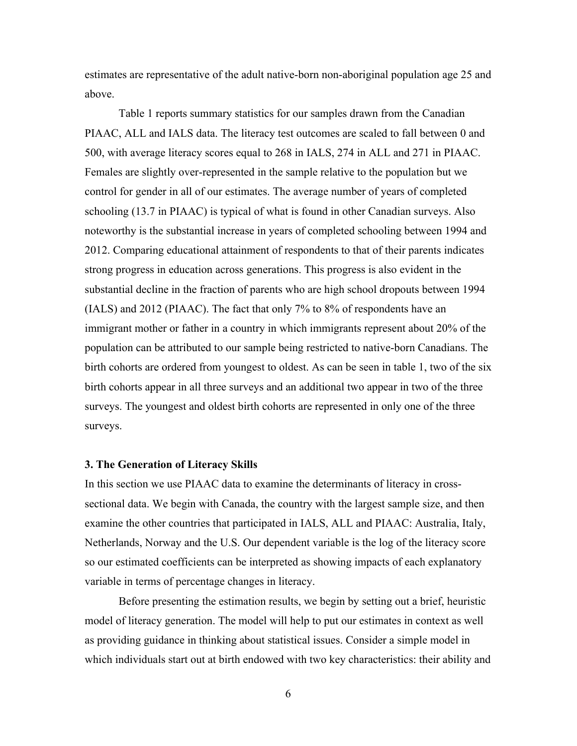estimates are representative of the adult native-born non-aboriginal population age 25 and above.

Table 1 reports summary statistics for our samples drawn from the Canadian PIAAC, ALL and IALS data. The literacy test outcomes are scaled to fall between 0 and 500, with average literacy scores equal to 268 in IALS, 274 in ALL and 271 in PIAAC. Females are slightly over-represented in the sample relative to the population but we control for gender in all of our estimates. The average number of years of completed schooling (13.7 in PIAAC) is typical of what is found in other Canadian surveys. Also noteworthy is the substantial increase in years of completed schooling between 1994 and 2012. Comparing educational attainment of respondents to that of their parents indicates strong progress in education across generations. This progress is also evident in the substantial decline in the fraction of parents who are high school dropouts between 1994 (IALS) and 2012 (PIAAC). The fact that only 7% to 8% of respondents have an immigrant mother or father in a country in which immigrants represent about 20% of the population can be attributed to our sample being restricted to native-born Canadians. The birth cohorts are ordered from youngest to oldest. As can be seen in table 1, two of the six birth cohorts appear in all three surveys and an additional two appear in two of the three surveys. The youngest and oldest birth cohorts are represented in only one of the three surveys.

#### **3. The Generation of Literacy Skills**

In this section we use PIAAC data to examine the determinants of literacy in crosssectional data. We begin with Canada, the country with the largest sample size, and then examine the other countries that participated in IALS, ALL and PIAAC: Australia, Italy, Netherlands, Norway and the U.S. Our dependent variable is the log of the literacy score so our estimated coefficients can be interpreted as showing impacts of each explanatory variable in terms of percentage changes in literacy.

Before presenting the estimation results, we begin by setting out a brief, heuristic model of literacy generation. The model will help to put our estimates in context as well as providing guidance in thinking about statistical issues. Consider a simple model in which individuals start out at birth endowed with two key characteristics: their ability and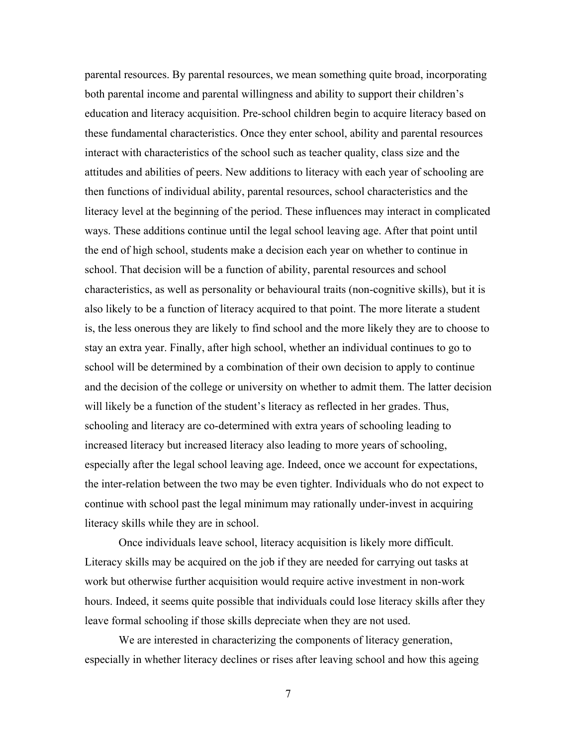parental resources. By parental resources, we mean something quite broad, incorporating both parental income and parental willingness and ability to support their children's education and literacy acquisition. Pre-school children begin to acquire literacy based on these fundamental characteristics. Once they enter school, ability and parental resources interact with characteristics of the school such as teacher quality, class size and the attitudes and abilities of peers. New additions to literacy with each year of schooling are then functions of individual ability, parental resources, school characteristics and the literacy level at the beginning of the period. These influences may interact in complicated ways. These additions continue until the legal school leaving age. After that point until the end of high school, students make a decision each year on whether to continue in school. That decision will be a function of ability, parental resources and school characteristics, as well as personality or behavioural traits (non-cognitive skills), but it is also likely to be a function of literacy acquired to that point. The more literate a student is, the less onerous they are likely to find school and the more likely they are to choose to stay an extra year. Finally, after high school, whether an individual continues to go to school will be determined by a combination of their own decision to apply to continue and the decision of the college or university on whether to admit them. The latter decision will likely be a function of the student's literacy as reflected in her grades. Thus, schooling and literacy are co-determined with extra years of schooling leading to increased literacy but increased literacy also leading to more years of schooling, especially after the legal school leaving age. Indeed, once we account for expectations, the inter-relation between the two may be even tighter. Individuals who do not expect to continue with school past the legal minimum may rationally under-invest in acquiring literacy skills while they are in school.

Once individuals leave school, literacy acquisition is likely more difficult. Literacy skills may be acquired on the job if they are needed for carrying out tasks at work but otherwise further acquisition would require active investment in non-work hours. Indeed, it seems quite possible that individuals could lose literacy skills after they leave formal schooling if those skills depreciate when they are not used.

We are interested in characterizing the components of literacy generation, especially in whether literacy declines or rises after leaving school and how this ageing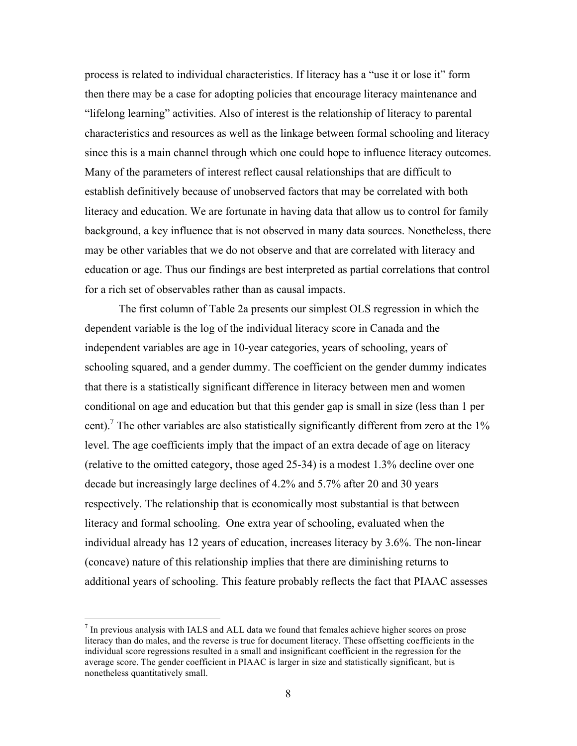process is related to individual characteristics. If literacy has a "use it or lose it" form then there may be a case for adopting policies that encourage literacy maintenance and "lifelong learning" activities. Also of interest is the relationship of literacy to parental characteristics and resources as well as the linkage between formal schooling and literacy since this is a main channel through which one could hope to influence literacy outcomes. Many of the parameters of interest reflect causal relationships that are difficult to establish definitively because of unobserved factors that may be correlated with both literacy and education. We are fortunate in having data that allow us to control for family background, a key influence that is not observed in many data sources. Nonetheless, there may be other variables that we do not observe and that are correlated with literacy and education or age. Thus our findings are best interpreted as partial correlations that control for a rich set of observables rather than as causal impacts.

The first column of Table 2a presents our simplest OLS regression in which the dependent variable is the log of the individual literacy score in Canada and the independent variables are age in 10-year categories, years of schooling, years of schooling squared, and a gender dummy. The coefficient on the gender dummy indicates that there is a statistically significant difference in literacy between men and women conditional on age and education but that this gender gap is small in size (less than 1 per cent).<sup>7</sup> The other variables are also statistically significantly different from zero at the  $1\%$ level. The age coefficients imply that the impact of an extra decade of age on literacy (relative to the omitted category, those aged 25-34) is a modest 1.3% decline over one decade but increasingly large declines of 4.2% and 5.7% after 20 and 30 years respectively. The relationship that is economically most substantial is that between literacy and formal schooling. One extra year of schooling, evaluated when the individual already has 12 years of education, increases literacy by 3.6%. The non-linear (concave) nature of this relationship implies that there are diminishing returns to additional years of schooling. This feature probably reflects the fact that PIAAC assesses

 $<sup>7</sup>$  In previous analysis with IALS and ALL data we found that females achieve higher scores on prose</sup> literacy than do males, and the reverse is true for document literacy. These offsetting coefficients in the individual score regressions resulted in a small and insignificant coefficient in the regression for the average score. The gender coefficient in PIAAC is larger in size and statistically significant, but is nonetheless quantitatively small.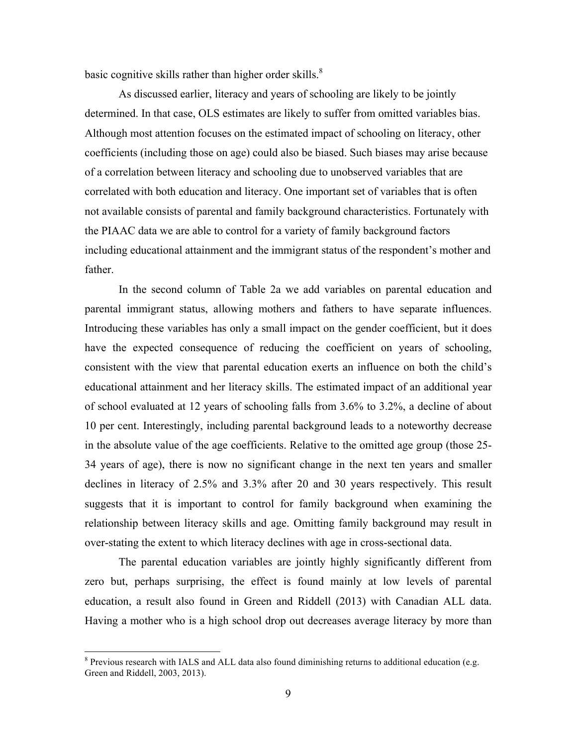basic cognitive skills rather than higher order skills.<sup>8</sup>

As discussed earlier, literacy and years of schooling are likely to be jointly determined. In that case, OLS estimates are likely to suffer from omitted variables bias. Although most attention focuses on the estimated impact of schooling on literacy, other coefficients (including those on age) could also be biased. Such biases may arise because of a correlation between literacy and schooling due to unobserved variables that are correlated with both education and literacy. One important set of variables that is often not available consists of parental and family background characteristics. Fortunately with the PIAAC data we are able to control for a variety of family background factors including educational attainment and the immigrant status of the respondent's mother and father.

In the second column of Table 2a we add variables on parental education and parental immigrant status, allowing mothers and fathers to have separate influences. Introducing these variables has only a small impact on the gender coefficient, but it does have the expected consequence of reducing the coefficient on years of schooling, consistent with the view that parental education exerts an influence on both the child's educational attainment and her literacy skills. The estimated impact of an additional year of school evaluated at 12 years of schooling falls from 3.6% to 3.2%, a decline of about 10 per cent. Interestingly, including parental background leads to a noteworthy decrease in the absolute value of the age coefficients. Relative to the omitted age group (those 25- 34 years of age), there is now no significant change in the next ten years and smaller declines in literacy of 2.5% and 3.3% after 20 and 30 years respectively. This result suggests that it is important to control for family background when examining the relationship between literacy skills and age. Omitting family background may result in over-stating the extent to which literacy declines with age in cross-sectional data.

The parental education variables are jointly highly significantly different from zero but, perhaps surprising, the effect is found mainly at low levels of parental education, a result also found in Green and Riddell (2013) with Canadian ALL data. Having a mother who is a high school drop out decreases average literacy by more than

<sup>&</sup>lt;sup>8</sup> Previous research with IALS and ALL data also found diminishing returns to additional education (e.g. Green and Riddell, 2003, 2013).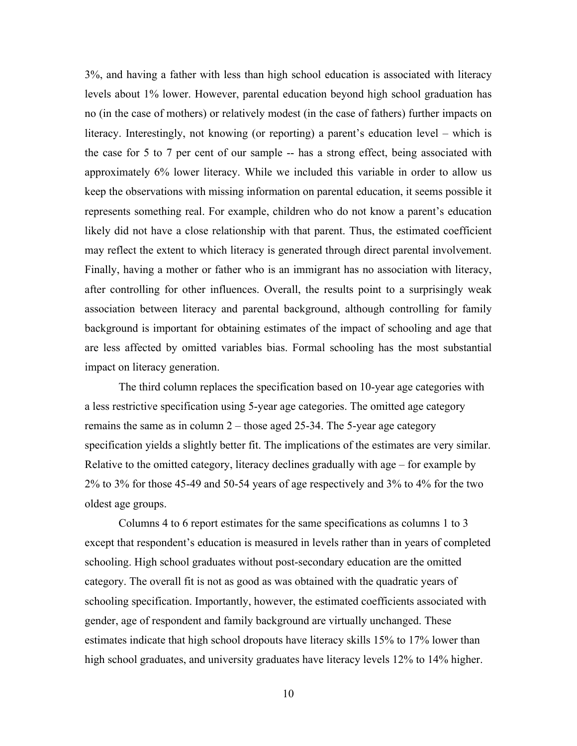3%, and having a father with less than high school education is associated with literacy levels about 1% lower. However, parental education beyond high school graduation has no (in the case of mothers) or relatively modest (in the case of fathers) further impacts on literacy. Interestingly, not knowing (or reporting) a parent's education level – which is the case for 5 to 7 per cent of our sample -- has a strong effect, being associated with approximately 6% lower literacy. While we included this variable in order to allow us keep the observations with missing information on parental education, it seems possible it represents something real. For example, children who do not know a parent's education likely did not have a close relationship with that parent. Thus, the estimated coefficient may reflect the extent to which literacy is generated through direct parental involvement. Finally, having a mother or father who is an immigrant has no association with literacy, after controlling for other influences. Overall, the results point to a surprisingly weak association between literacy and parental background, although controlling for family background is important for obtaining estimates of the impact of schooling and age that are less affected by omitted variables bias. Formal schooling has the most substantial impact on literacy generation.

The third column replaces the specification based on 10-year age categories with a less restrictive specification using 5-year age categories. The omitted age category remains the same as in column 2 – those aged 25-34. The 5-year age category specification yields a slightly better fit. The implications of the estimates are very similar. Relative to the omitted category, literacy declines gradually with age – for example by 2% to 3% for those 45-49 and 50-54 years of age respectively and 3% to 4% for the two oldest age groups.

Columns 4 to 6 report estimates for the same specifications as columns 1 to 3 except that respondent's education is measured in levels rather than in years of completed schooling. High school graduates without post-secondary education are the omitted category. The overall fit is not as good as was obtained with the quadratic years of schooling specification. Importantly, however, the estimated coefficients associated with gender, age of respondent and family background are virtually unchanged. These estimates indicate that high school dropouts have literacy skills 15% to 17% lower than high school graduates, and university graduates have literacy levels 12% to 14% higher.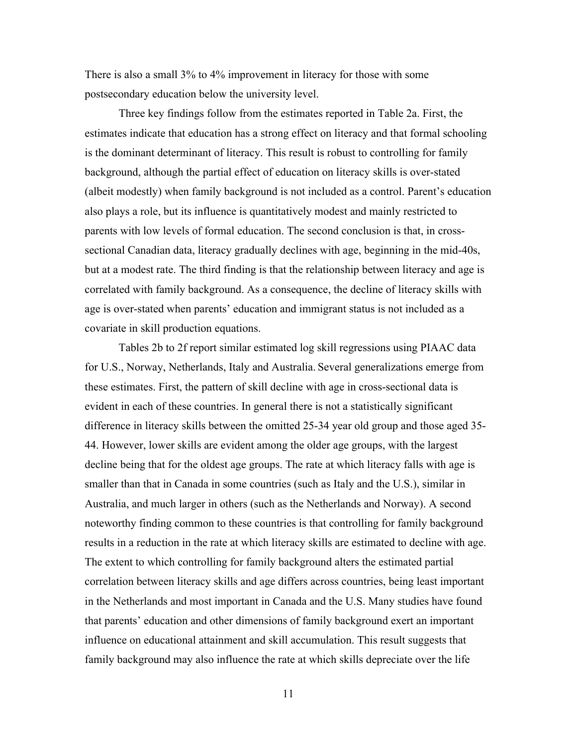There is also a small 3% to 4% improvement in literacy for those with some postsecondary education below the university level.

Three key findings follow from the estimates reported in Table 2a. First, the estimates indicate that education has a strong effect on literacy and that formal schooling is the dominant determinant of literacy. This result is robust to controlling for family background, although the partial effect of education on literacy skills is over-stated (albeit modestly) when family background is not included as a control. Parent's education also plays a role, but its influence is quantitatively modest and mainly restricted to parents with low levels of formal education. The second conclusion is that, in crosssectional Canadian data, literacy gradually declines with age, beginning in the mid-40s, but at a modest rate. The third finding is that the relationship between literacy and age is correlated with family background. As a consequence, the decline of literacy skills with age is over-stated when parents' education and immigrant status is not included as a covariate in skill production equations.

Tables 2b to 2f report similar estimated log skill regressions using PIAAC data for U.S., Norway, Netherlands, Italy and Australia. Several generalizations emerge from these estimates. First, the pattern of skill decline with age in cross-sectional data is evident in each of these countries. In general there is not a statistically significant difference in literacy skills between the omitted 25-34 year old group and those aged 35- 44. However, lower skills are evident among the older age groups, with the largest decline being that for the oldest age groups. The rate at which literacy falls with age is smaller than that in Canada in some countries (such as Italy and the U.S.), similar in Australia, and much larger in others (such as the Netherlands and Norway). A second noteworthy finding common to these countries is that controlling for family background results in a reduction in the rate at which literacy skills are estimated to decline with age. The extent to which controlling for family background alters the estimated partial correlation between literacy skills and age differs across countries, being least important in the Netherlands and most important in Canada and the U.S. Many studies have found that parents' education and other dimensions of family background exert an important influence on educational attainment and skill accumulation. This result suggests that family background may also influence the rate at which skills depreciate over the life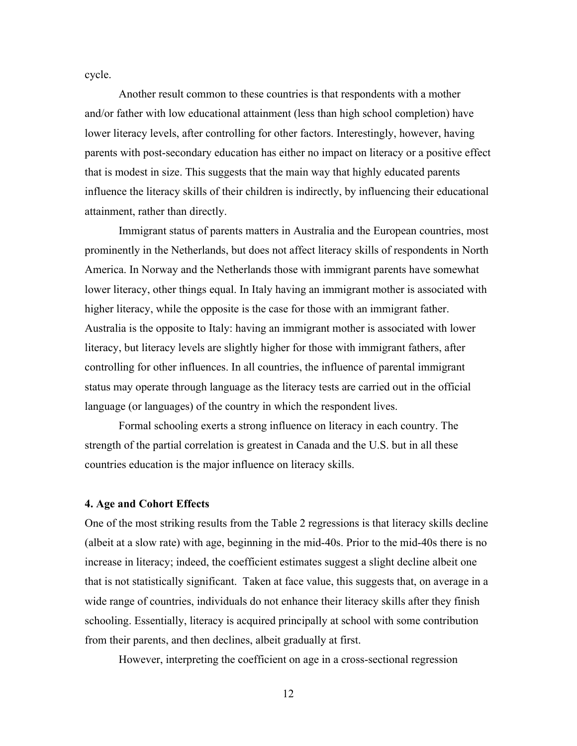cycle.

Another result common to these countries is that respondents with a mother and/or father with low educational attainment (less than high school completion) have lower literacy levels, after controlling for other factors. Interestingly, however, having parents with post-secondary education has either no impact on literacy or a positive effect that is modest in size. This suggests that the main way that highly educated parents influence the literacy skills of their children is indirectly, by influencing their educational attainment, rather than directly.

Immigrant status of parents matters in Australia and the European countries, most prominently in the Netherlands, but does not affect literacy skills of respondents in North America. In Norway and the Netherlands those with immigrant parents have somewhat lower literacy, other things equal. In Italy having an immigrant mother is associated with higher literacy, while the opposite is the case for those with an immigrant father. Australia is the opposite to Italy: having an immigrant mother is associated with lower literacy, but literacy levels are slightly higher for those with immigrant fathers, after controlling for other influences. In all countries, the influence of parental immigrant status may operate through language as the literacy tests are carried out in the official language (or languages) of the country in which the respondent lives.

Formal schooling exerts a strong influence on literacy in each country. The strength of the partial correlation is greatest in Canada and the U.S. but in all these countries education is the major influence on literacy skills.

#### **4. Age and Cohort Effects**

One of the most striking results from the Table 2 regressions is that literacy skills decline (albeit at a slow rate) with age, beginning in the mid-40s. Prior to the mid-40s there is no increase in literacy; indeed, the coefficient estimates suggest a slight decline albeit one that is not statistically significant. Taken at face value, this suggests that, on average in a wide range of countries, individuals do not enhance their literacy skills after they finish schooling. Essentially, literacy is acquired principally at school with some contribution from their parents, and then declines, albeit gradually at first.

However, interpreting the coefficient on age in a cross-sectional regression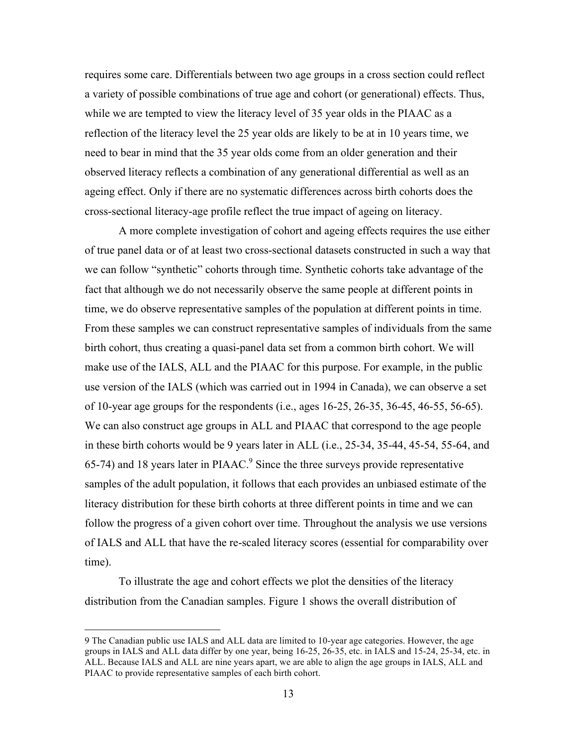requires some care. Differentials between two age groups in a cross section could reflect a variety of possible combinations of true age and cohort (or generational) effects. Thus, while we are tempted to view the literacy level of 35 year olds in the PIAAC as a reflection of the literacy level the 25 year olds are likely to be at in 10 years time, we need to bear in mind that the 35 year olds come from an older generation and their observed literacy reflects a combination of any generational differential as well as an ageing effect. Only if there are no systematic differences across birth cohorts does the cross-sectional literacy-age profile reflect the true impact of ageing on literacy.

A more complete investigation of cohort and ageing effects requires the use either of true panel data or of at least two cross-sectional datasets constructed in such a way that we can follow "synthetic" cohorts through time. Synthetic cohorts take advantage of the fact that although we do not necessarily observe the same people at different points in time, we do observe representative samples of the population at different points in time. From these samples we can construct representative samples of individuals from the same birth cohort, thus creating a quasi-panel data set from a common birth cohort. We will make use of the IALS, ALL and the PIAAC for this purpose. For example, in the public use version of the IALS (which was carried out in 1994 in Canada), we can observe a set of 10-year age groups for the respondents (i.e., ages 16-25, 26-35, 36-45, 46-55, 56-65). We can also construct age groups in ALL and PIAAC that correspond to the age people in these birth cohorts would be 9 years later in ALL (i.e., 25-34, 35-44, 45-54, 55-64, and  $65-74$ ) and 18 years later in PIAAC.<sup>9</sup> Since the three surveys provide representative samples of the adult population, it follows that each provides an unbiased estimate of the literacy distribution for these birth cohorts at three different points in time and we can follow the progress of a given cohort over time. Throughout the analysis we use versions of IALS and ALL that have the re-scaled literacy scores (essential for comparability over time).

To illustrate the age and cohort effects we plot the densities of the literacy distribution from the Canadian samples. Figure 1 shows the overall distribution of

 <sup>9</sup> The Canadian public use IALS and ALL data are limited to 10-year age categories. However, the age groups in IALS and ALL data differ by one year, being 16-25, 26-35, etc. in IALS and 15-24, 25-34, etc. in ALL. Because IALS and ALL are nine years apart, we are able to align the age groups in IALS, ALL and PIAAC to provide representative samples of each birth cohort.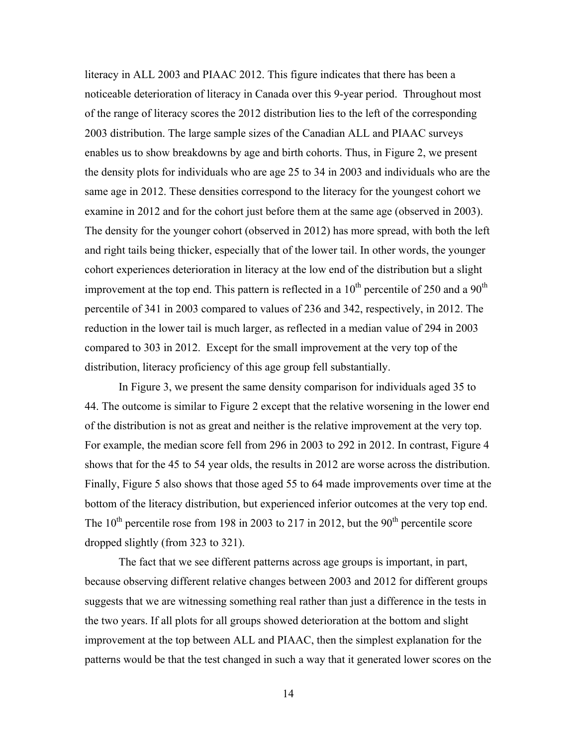literacy in ALL 2003 and PIAAC 2012. This figure indicates that there has been a noticeable deterioration of literacy in Canada over this 9-year period. Throughout most of the range of literacy scores the 2012 distribution lies to the left of the corresponding 2003 distribution. The large sample sizes of the Canadian ALL and PIAAC surveys enables us to show breakdowns by age and birth cohorts. Thus, in Figure 2, we present the density plots for individuals who are age 25 to 34 in 2003 and individuals who are the same age in 2012. These densities correspond to the literacy for the youngest cohort we examine in 2012 and for the cohort just before them at the same age (observed in 2003). The density for the younger cohort (observed in 2012) has more spread, with both the left and right tails being thicker, especially that of the lower tail. In other words, the younger cohort experiences deterioration in literacy at the low end of the distribution but a slight improvement at the top end. This pattern is reflected in a  $10<sup>th</sup>$  percentile of 250 and a  $90<sup>th</sup>$ percentile of 341 in 2003 compared to values of 236 and 342, respectively, in 2012. The reduction in the lower tail is much larger, as reflected in a median value of 294 in 2003 compared to 303 in 2012. Except for the small improvement at the very top of the distribution, literacy proficiency of this age group fell substantially.

In Figure 3, we present the same density comparison for individuals aged 35 to 44. The outcome is similar to Figure 2 except that the relative worsening in the lower end of the distribution is not as great and neither is the relative improvement at the very top. For example, the median score fell from 296 in 2003 to 292 in 2012. In contrast, Figure 4 shows that for the 45 to 54 year olds, the results in 2012 are worse across the distribution. Finally, Figure 5 also shows that those aged 55 to 64 made improvements over time at the bottom of the literacy distribution, but experienced inferior outcomes at the very top end. The  $10^{th}$  percentile rose from 198 in 2003 to 217 in 2012, but the  $90^{th}$  percentile score dropped slightly (from 323 to 321).

The fact that we see different patterns across age groups is important, in part, because observing different relative changes between 2003 and 2012 for different groups suggests that we are witnessing something real rather than just a difference in the tests in the two years. If all plots for all groups showed deterioration at the bottom and slight improvement at the top between ALL and PIAAC, then the simplest explanation for the patterns would be that the test changed in such a way that it generated lower scores on the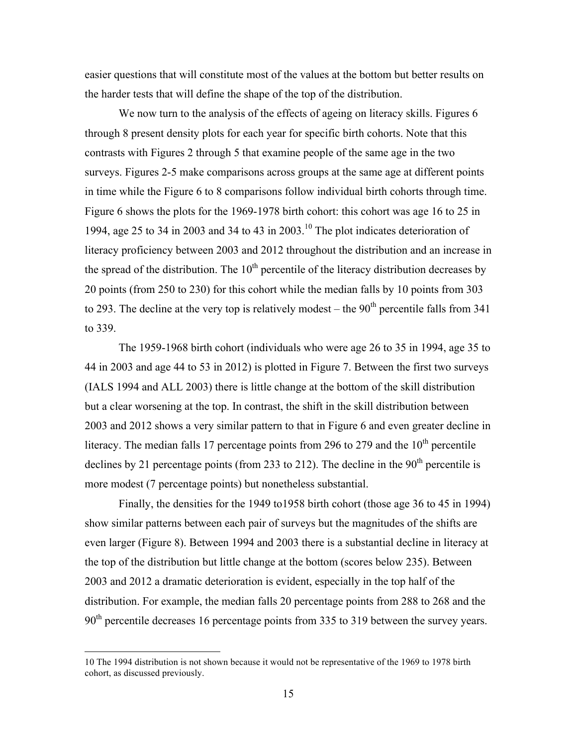easier questions that will constitute most of the values at the bottom but better results on the harder tests that will define the shape of the top of the distribution.

We now turn to the analysis of the effects of ageing on literacy skills. Figures 6 through 8 present density plots for each year for specific birth cohorts. Note that this contrasts with Figures 2 through 5 that examine people of the same age in the two surveys. Figures 2-5 make comparisons across groups at the same age at different points in time while the Figure 6 to 8 comparisons follow individual birth cohorts through time. Figure 6 shows the plots for the 1969-1978 birth cohort: this cohort was age 16 to 25 in 1994, age 25 to 34 in 2003 and 34 to 43 in 2003.<sup>10</sup> The plot indicates deterioration of literacy proficiency between 2003 and 2012 throughout the distribution and an increase in the spread of the distribution. The  $10<sup>th</sup>$  percentile of the literacy distribution decreases by 20 points (from 250 to 230) for this cohort while the median falls by 10 points from 303 to 293. The decline at the very top is relatively modest – the  $90<sup>th</sup>$  percentile falls from 341 to 339.

The 1959-1968 birth cohort (individuals who were age 26 to 35 in 1994, age 35 to 44 in 2003 and age 44 to 53 in 2012) is plotted in Figure 7. Between the first two surveys (IALS 1994 and ALL 2003) there is little change at the bottom of the skill distribution but a clear worsening at the top. In contrast, the shift in the skill distribution between 2003 and 2012 shows a very similar pattern to that in Figure 6 and even greater decline in literacy. The median falls 17 percentage points from 296 to 279 and the  $10<sup>th</sup>$  percentile declines by 21 percentage points (from 233 to 212). The decline in the  $90<sup>th</sup>$  percentile is more modest (7 percentage points) but nonetheless substantial.

Finally, the densities for the 1949 to1958 birth cohort (those age 36 to 45 in 1994) show similar patterns between each pair of surveys but the magnitudes of the shifts are even larger (Figure 8). Between 1994 and 2003 there is a substantial decline in literacy at the top of the distribution but little change at the bottom (scores below 235). Between 2003 and 2012 a dramatic deterioration is evident, especially in the top half of the distribution. For example, the median falls 20 percentage points from 288 to 268 and the 90<sup>th</sup> percentile decreases 16 percentage points from 335 to 319 between the survey years.

 <sup>10</sup> The 1994 distribution is not shown because it would not be representative of the 1969 to 1978 birth cohort, as discussed previously.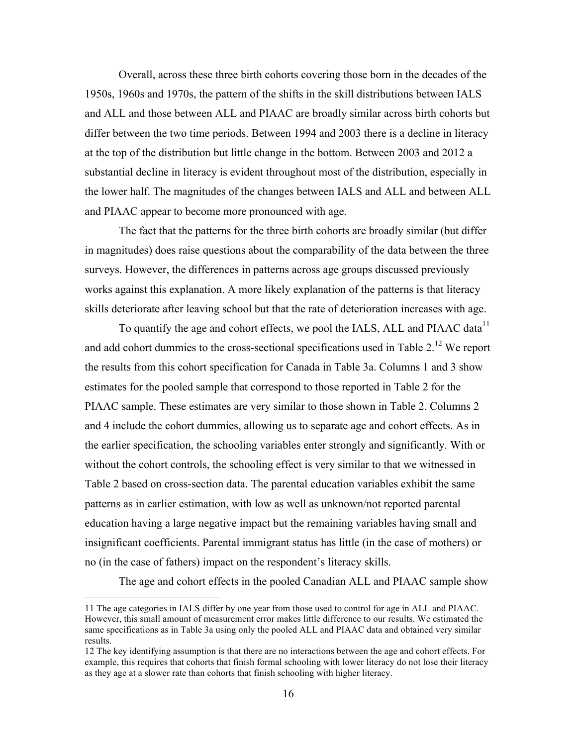Overall, across these three birth cohorts covering those born in the decades of the 1950s, 1960s and 1970s, the pattern of the shifts in the skill distributions between IALS and ALL and those between ALL and PIAAC are broadly similar across birth cohorts but differ between the two time periods. Between 1994 and 2003 there is a decline in literacy at the top of the distribution but little change in the bottom. Between 2003 and 2012 a substantial decline in literacy is evident throughout most of the distribution, especially in the lower half. The magnitudes of the changes between IALS and ALL and between ALL and PIAAC appear to become more pronounced with age.

The fact that the patterns for the three birth cohorts are broadly similar (but differ in magnitudes) does raise questions about the comparability of the data between the three surveys. However, the differences in patterns across age groups discussed previously works against this explanation. A more likely explanation of the patterns is that literacy skills deteriorate after leaving school but that the rate of deterioration increases with age.

To quantify the age and cohort effects, we pool the IALS, ALL and PIAAC data<sup>11</sup> and add cohort dummies to the cross-sectional specifications used in Table  $2<sup>12</sup>$  We report the results from this cohort specification for Canada in Table 3a. Columns 1 and 3 show estimates for the pooled sample that correspond to those reported in Table 2 for the PIAAC sample. These estimates are very similar to those shown in Table 2. Columns 2 and 4 include the cohort dummies, allowing us to separate age and cohort effects. As in the earlier specification, the schooling variables enter strongly and significantly. With or without the cohort controls, the schooling effect is very similar to that we witnessed in Table 2 based on cross-section data. The parental education variables exhibit the same patterns as in earlier estimation, with low as well as unknown/not reported parental education having a large negative impact but the remaining variables having small and insignificant coefficients. Parental immigrant status has little (in the case of mothers) or no (in the case of fathers) impact on the respondent's literacy skills.

The age and cohort effects in the pooled Canadian ALL and PIAAC sample show

 $\overline{a}$ 

<sup>11</sup> The age categories in IALS differ by one year from those used to control for age in ALL and PIAAC. However, this small amount of measurement error makes little difference to our results. We estimated the same specifications as in Table 3a using only the pooled ALL and PIAAC data and obtained very similar results.

<sup>12</sup> The key identifying assumption is that there are no interactions between the age and cohort effects. For example, this requires that cohorts that finish formal schooling with lower literacy do not lose their literacy as they age at a slower rate than cohorts that finish schooling with higher literacy.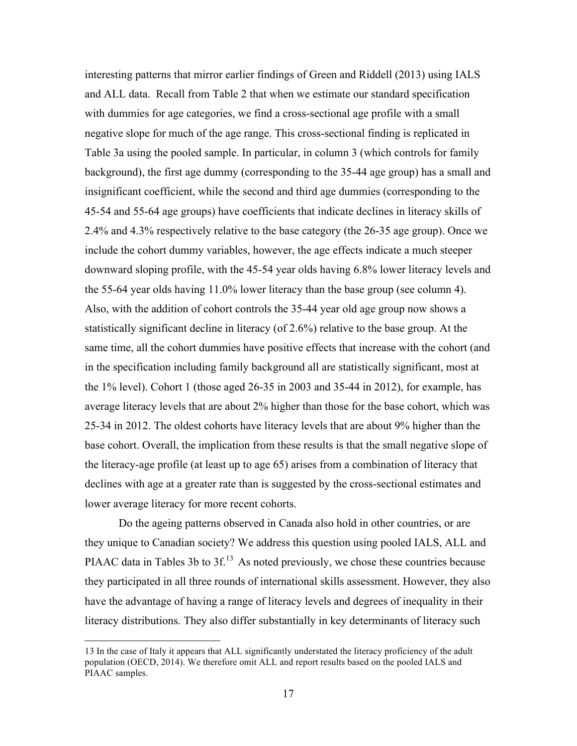interesting patterns that mirror earlier findings of Green and Riddell (2013) using IALS and ALL data. Recall from Table 2 that when we estimate our standard specification with dummies for age categories, we find a cross-sectional age profile with a small negative slope for much of the age range. This cross-sectional finding is replicated in Table 3a using the pooled sample. In particular, in column 3 (which controls for family background), the first age dummy (corresponding to the 35-44 age group) has a small and insignificant coefficient, while the second and third age dummies (corresponding to the 45-54 and 55-64 age groups) have coefficients that indicate declines in literacy skills of 2.4% and 4.3% respectively relative to the base category (the 26-35 age group). Once we include the cohort dummy variables, however, the age effects indicate a much steeper downward sloping profile, with the 45-54 year olds having 6.8% lower literacy levels and the 55-64 year olds having 11.0% lower literacy than the base group (see column 4). Also, with the addition of cohort controls the 35-44 year old age group now shows a statistically significant decline in literacy (of 2.6%) relative to the base group. At the same time, all the cohort dummies have positive effects that increase with the cohort (and in the specification including family background all are statistically significant, most at the 1% level). Cohort 1 (those aged 26-35 in 2003 and 35-44 in 2012), for example, has average literacy levels that are about 2% higher than those for the base cohort, which was 25-34 in 2012. The oldest cohorts have literacy levels that are about 9% higher than the base cohort. Overall, the implication from these results is that the small negative slope of the literacy-age profile (at least up to age 65) arises from a combination of literacy that declines with age at a greater rate than is suggested by the cross-sectional estimates and lower average literacy for more recent cohorts.

Do the ageing patterns observed in Canada also hold in other countries, or are they unique to Canadian society? We address this question using pooled IALS, ALL and PIAAC data in Tables 3b to 3f.<sup>13</sup> As noted previously, we chose these countries because they participated in all three rounds of international skills assessment. However, they also have the advantage of having a range of literacy levels and degrees of inequality in their literacy distributions. They also differ substantially in key determinants of literacy such

 <sup>13</sup> In the case of Italy it appears that ALL significantly understated the literacy proficiency of the adult population (OECD, 2014). We therefore omit ALL and report results based on the pooled IALS and PIAAC samples.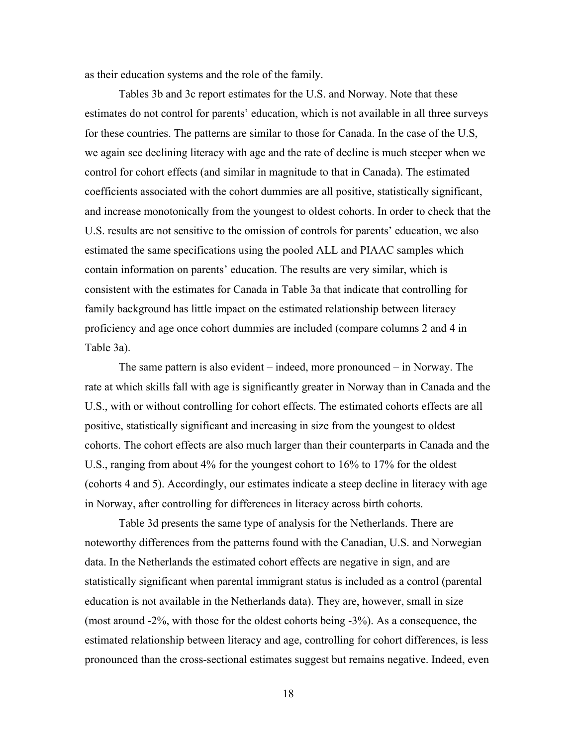as their education systems and the role of the family.

Tables 3b and 3c report estimates for the U.S. and Norway. Note that these estimates do not control for parents' education, which is not available in all three surveys for these countries. The patterns are similar to those for Canada. In the case of the U.S, we again see declining literacy with age and the rate of decline is much steeper when we control for cohort effects (and similar in magnitude to that in Canada). The estimated coefficients associated with the cohort dummies are all positive, statistically significant, and increase monotonically from the youngest to oldest cohorts. In order to check that the U.S. results are not sensitive to the omission of controls for parents' education, we also estimated the same specifications using the pooled ALL and PIAAC samples which contain information on parents' education. The results are very similar, which is consistent with the estimates for Canada in Table 3a that indicate that controlling for family background has little impact on the estimated relationship between literacy proficiency and age once cohort dummies are included (compare columns 2 and 4 in Table 3a).

The same pattern is also evident – indeed, more pronounced – in Norway. The rate at which skills fall with age is significantly greater in Norway than in Canada and the U.S., with or without controlling for cohort effects. The estimated cohorts effects are all positive, statistically significant and increasing in size from the youngest to oldest cohorts. The cohort effects are also much larger than their counterparts in Canada and the U.S., ranging from about 4% for the youngest cohort to 16% to 17% for the oldest (cohorts 4 and 5). Accordingly, our estimates indicate a steep decline in literacy with age in Norway, after controlling for differences in literacy across birth cohorts.

Table 3d presents the same type of analysis for the Netherlands. There are noteworthy differences from the patterns found with the Canadian, U.S. and Norwegian data. In the Netherlands the estimated cohort effects are negative in sign, and are statistically significant when parental immigrant status is included as a control (parental education is not available in the Netherlands data). They are, however, small in size (most around -2%, with those for the oldest cohorts being -3%). As a consequence, the estimated relationship between literacy and age, controlling for cohort differences, is less pronounced than the cross-sectional estimates suggest but remains negative. Indeed, even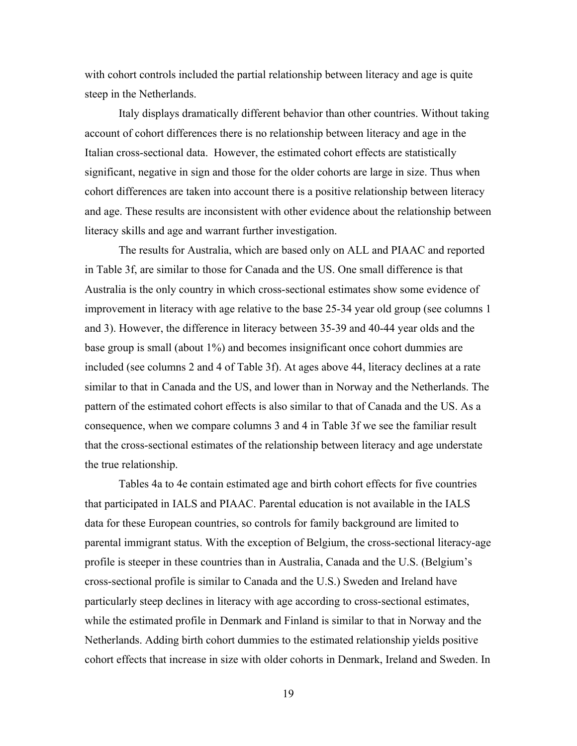with cohort controls included the partial relationship between literacy and age is quite steep in the Netherlands.

Italy displays dramatically different behavior than other countries. Without taking account of cohort differences there is no relationship between literacy and age in the Italian cross-sectional data. However, the estimated cohort effects are statistically significant, negative in sign and those for the older cohorts are large in size. Thus when cohort differences are taken into account there is a positive relationship between literacy and age. These results are inconsistent with other evidence about the relationship between literacy skills and age and warrant further investigation.

The results for Australia, which are based only on ALL and PIAAC and reported in Table 3f, are similar to those for Canada and the US. One small difference is that Australia is the only country in which cross-sectional estimates show some evidence of improvement in literacy with age relative to the base 25-34 year old group (see columns 1 and 3). However, the difference in literacy between 35-39 and 40-44 year olds and the base group is small (about 1%) and becomes insignificant once cohort dummies are included (see columns 2 and 4 of Table 3f). At ages above 44, literacy declines at a rate similar to that in Canada and the US, and lower than in Norway and the Netherlands. The pattern of the estimated cohort effects is also similar to that of Canada and the US. As a consequence, when we compare columns 3 and 4 in Table 3f we see the familiar result that the cross-sectional estimates of the relationship between literacy and age understate the true relationship.

Tables 4a to 4e contain estimated age and birth cohort effects for five countries that participated in IALS and PIAAC. Parental education is not available in the IALS data for these European countries, so controls for family background are limited to parental immigrant status. With the exception of Belgium, the cross-sectional literacy-age profile is steeper in these countries than in Australia, Canada and the U.S. (Belgium's cross-sectional profile is similar to Canada and the U.S.) Sweden and Ireland have particularly steep declines in literacy with age according to cross-sectional estimates, while the estimated profile in Denmark and Finland is similar to that in Norway and the Netherlands. Adding birth cohort dummies to the estimated relationship yields positive cohort effects that increase in size with older cohorts in Denmark, Ireland and Sweden. In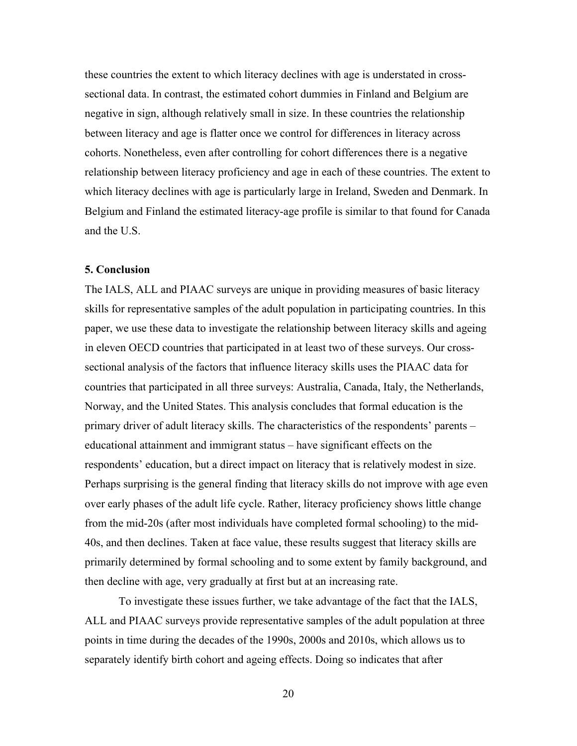these countries the extent to which literacy declines with age is understated in crosssectional data. In contrast, the estimated cohort dummies in Finland and Belgium are negative in sign, although relatively small in size. In these countries the relationship between literacy and age is flatter once we control for differences in literacy across cohorts. Nonetheless, even after controlling for cohort differences there is a negative relationship between literacy proficiency and age in each of these countries. The extent to which literacy declines with age is particularly large in Ireland, Sweden and Denmark. In Belgium and Finland the estimated literacy-age profile is similar to that found for Canada and the U.S.

#### **5. Conclusion**

The IALS, ALL and PIAAC surveys are unique in providing measures of basic literacy skills for representative samples of the adult population in participating countries. In this paper, we use these data to investigate the relationship between literacy skills and ageing in eleven OECD countries that participated in at least two of these surveys. Our crosssectional analysis of the factors that influence literacy skills uses the PIAAC data for countries that participated in all three surveys: Australia, Canada, Italy, the Netherlands, Norway, and the United States. This analysis concludes that formal education is the primary driver of adult literacy skills. The characteristics of the respondents' parents – educational attainment and immigrant status – have significant effects on the respondents' education, but a direct impact on literacy that is relatively modest in size. Perhaps surprising is the general finding that literacy skills do not improve with age even over early phases of the adult life cycle. Rather, literacy proficiency shows little change from the mid-20s (after most individuals have completed formal schooling) to the mid-40s, and then declines. Taken at face value, these results suggest that literacy skills are primarily determined by formal schooling and to some extent by family background, and then decline with age, very gradually at first but at an increasing rate.

To investigate these issues further, we take advantage of the fact that the IALS, ALL and PIAAC surveys provide representative samples of the adult population at three points in time during the decades of the 1990s, 2000s and 2010s, which allows us to separately identify birth cohort and ageing effects. Doing so indicates that after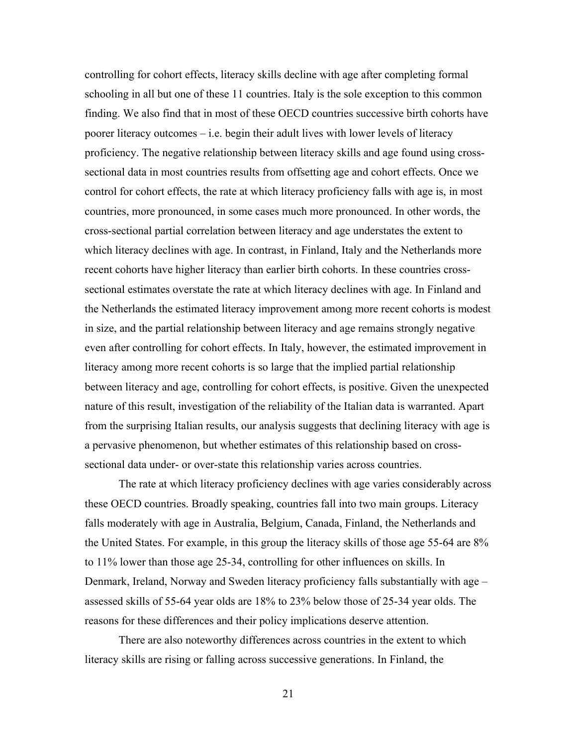controlling for cohort effects, literacy skills decline with age after completing formal schooling in all but one of these 11 countries. Italy is the sole exception to this common finding. We also find that in most of these OECD countries successive birth cohorts have poorer literacy outcomes – i.e. begin their adult lives with lower levels of literacy proficiency. The negative relationship between literacy skills and age found using crosssectional data in most countries results from offsetting age and cohort effects. Once we control for cohort effects, the rate at which literacy proficiency falls with age is, in most countries, more pronounced, in some cases much more pronounced. In other words, the cross-sectional partial correlation between literacy and age understates the extent to which literacy declines with age. In contrast, in Finland, Italy and the Netherlands more recent cohorts have higher literacy than earlier birth cohorts. In these countries crosssectional estimates overstate the rate at which literacy declines with age. In Finland and the Netherlands the estimated literacy improvement among more recent cohorts is modest in size, and the partial relationship between literacy and age remains strongly negative even after controlling for cohort effects. In Italy, however, the estimated improvement in literacy among more recent cohorts is so large that the implied partial relationship between literacy and age, controlling for cohort effects, is positive. Given the unexpected nature of this result, investigation of the reliability of the Italian data is warranted. Apart from the surprising Italian results, our analysis suggests that declining literacy with age is a pervasive phenomenon, but whether estimates of this relationship based on crosssectional data under- or over-state this relationship varies across countries.

The rate at which literacy proficiency declines with age varies considerably across these OECD countries. Broadly speaking, countries fall into two main groups. Literacy falls moderately with age in Australia, Belgium, Canada, Finland, the Netherlands and the United States. For example, in this group the literacy skills of those age 55-64 are 8% to 11% lower than those age 25-34, controlling for other influences on skills. In Denmark, Ireland, Norway and Sweden literacy proficiency falls substantially with age – assessed skills of 55-64 year olds are 18% to 23% below those of 25-34 year olds. The reasons for these differences and their policy implications deserve attention.

There are also noteworthy differences across countries in the extent to which literacy skills are rising or falling across successive generations. In Finland, the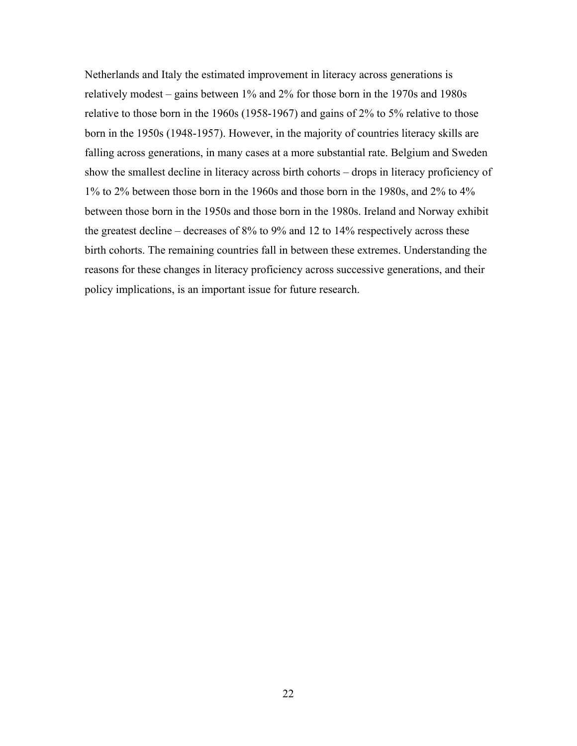Netherlands and Italy the estimated improvement in literacy across generations is relatively modest – gains between 1% and 2% for those born in the 1970s and 1980s relative to those born in the 1960s (1958-1967) and gains of 2% to 5% relative to those born in the 1950s (1948-1957). However, in the majority of countries literacy skills are falling across generations, in many cases at a more substantial rate. Belgium and Sweden show the smallest decline in literacy across birth cohorts – drops in literacy proficiency of 1% to 2% between those born in the 1960s and those born in the 1980s, and 2% to 4% between those born in the 1950s and those born in the 1980s. Ireland and Norway exhibit the greatest decline – decreases of 8% to 9% and 12 to 14% respectively across these birth cohorts. The remaining countries fall in between these extremes. Understanding the reasons for these changes in literacy proficiency across successive generations, and their policy implications, is an important issue for future research.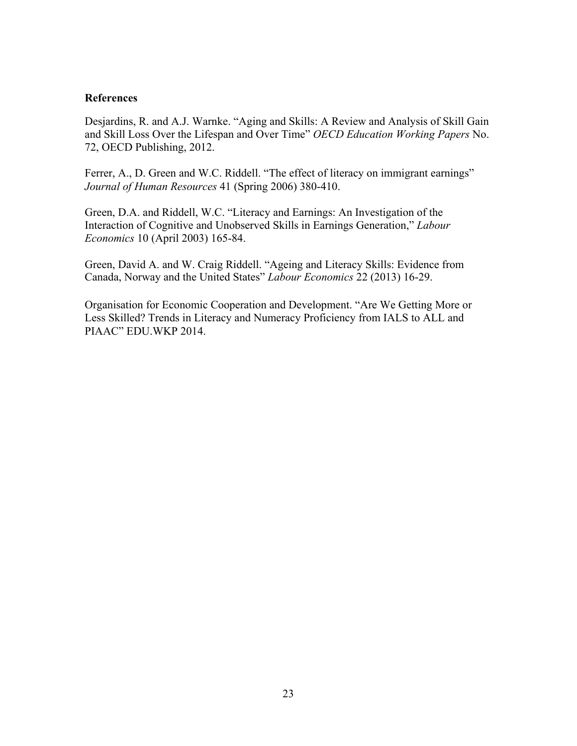### **References**

Desjardins, R. and A.J. Warnke. "Aging and Skills: A Review and Analysis of Skill Gain and Skill Loss Over the Lifespan and Over Time" *OECD Education Working Papers* No. 72, OECD Publishing, 2012.

Ferrer, A., D. Green and W.C. Riddell. "The effect of literacy on immigrant earnings" *Journal of Human Resources* 41 (Spring 2006) 380-410.

Green, D.A. and Riddell, W.C. "Literacy and Earnings: An Investigation of the Interaction of Cognitive and Unobserved Skills in Earnings Generation," *Labour Economics* 10 (April 2003) 165-84.

Green, David A. and W. Craig Riddell. "Ageing and Literacy Skills: Evidence from Canada, Norway and the United States" *Labour Economics* 22 (2013) 16-29.

Organisation for Economic Cooperation and Development. "Are We Getting More or Less Skilled? Trends in Literacy and Numeracy Proficiency from IALS to ALL and PIAAC" EDU.WKP 2014.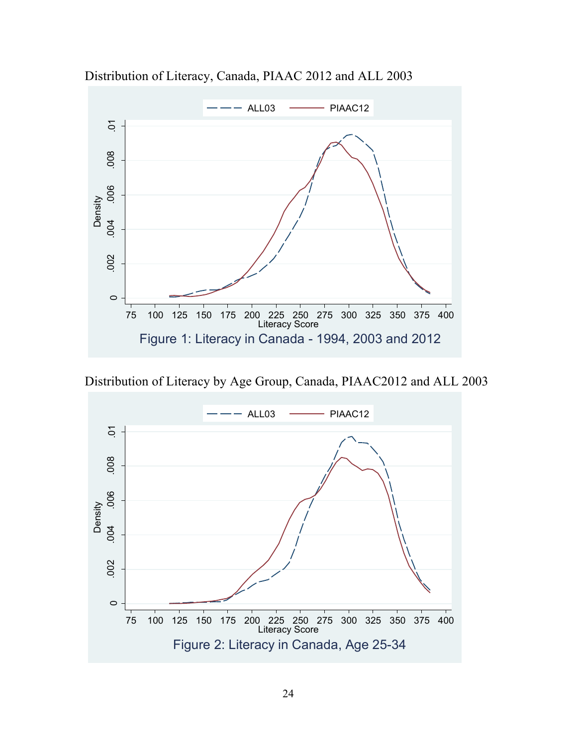

Distribution of Literacy, Canada, PIAAC 2012 and ALL 2003

Distribution of Literacy by Age Group, Canada, PIAAC2012 and ALL 2003

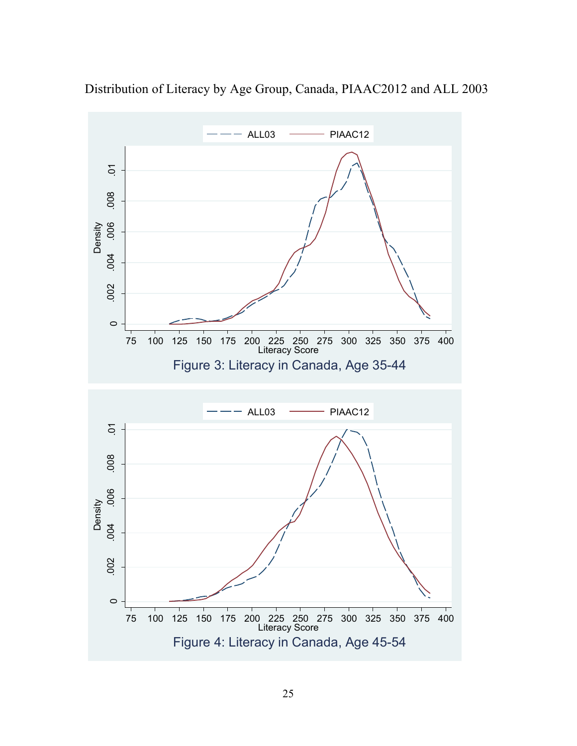

Distribution of Literacy by Age Group, Canada, PIAAC2012 and ALL 2003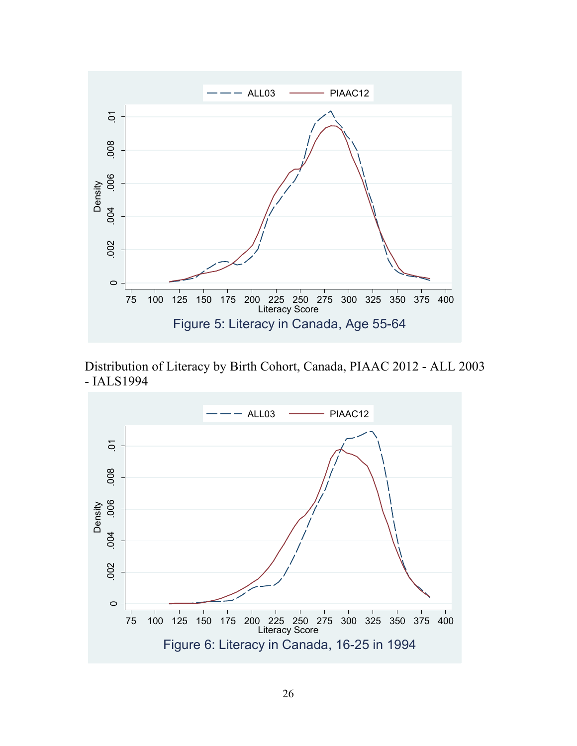

Distribution of Literacy by Birth Cohort, Canada, PIAAC 2012 - ALL 2003 - IALS1994

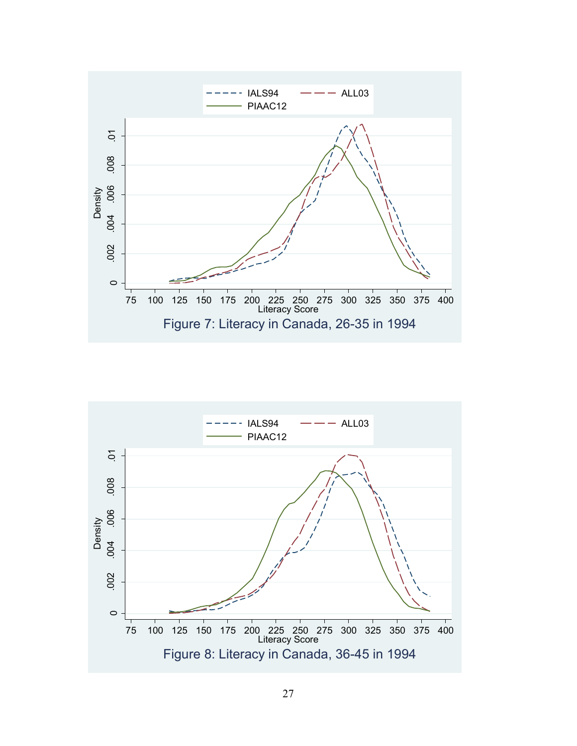

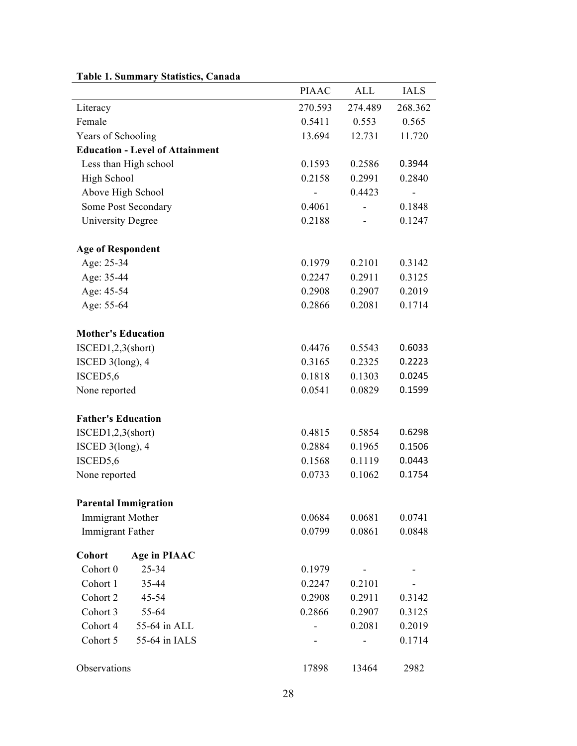|                                             | <b>PIAAC</b>     | <b>ALL</b>       | <b>IALS</b>      |
|---------------------------------------------|------------------|------------------|------------------|
| Literacy                                    | 270.593          | 274.489          | 268.362          |
| Female                                      | 0.5411           | 0.553            | 0.565            |
| Years of Schooling                          | 13.694           | 12.731           | 11.720           |
| <b>Education - Level of Attainment</b>      |                  |                  |                  |
| Less than High school                       | 0.1593           | 0.2586           | 0.3944           |
| High School                                 | 0.2158           | 0.2991           | 0.2840           |
| Above High School                           |                  | 0.4423           |                  |
| Some Post Secondary                         | 0.4061           |                  | 0.1848           |
| <b>University Degree</b>                    | 0.2188           |                  | 0.1247           |
| <b>Age of Respondent</b>                    |                  |                  |                  |
| Age: 25-34                                  | 0.1979           | 0.2101           | 0.3142           |
| Age: 35-44                                  | 0.2247           | 0.2911           | 0.3125           |
| Age: 45-54                                  | 0.2908           | 0.2907           | 0.2019           |
| Age: 55-64                                  | 0.2866           | 0.2081           | 0.1714           |
| <b>Mother's Education</b>                   |                  |                  |                  |
| ISCED1,2,3(short)                           | 0.4476           | 0.5543           | 0.6033           |
| ISCED $3$ (long), 4                         | 0.3165           | 0.2325           | 0.2223           |
| ISCED5,6                                    | 0.1818           | 0.1303           | 0.0245           |
| None reported                               | 0.0541           | 0.0829           | 0.1599           |
| <b>Father's Education</b>                   |                  |                  |                  |
| ISCED1,2,3(short)                           | 0.4815           | 0.5854           | 0.6298           |
| ISCED $3$ (long), 4                         | 0.2884           | 0.1965           | 0.1506           |
| ISCED5,6                                    | 0.1568           | 0.1119           | 0.0443           |
| None reported                               | 0.0733           | 0.1062           | 0.1754           |
| <b>Parental Immigration</b>                 |                  |                  |                  |
|                                             |                  |                  |                  |
| <b>Immigrant Mother</b><br>Immigrant Father | 0.0684<br>0.0799 | 0.0681<br>0.0861 | 0.0741<br>0.0848 |
|                                             |                  |                  |                  |
| Cohort<br>Age in PIAAC                      |                  |                  |                  |
| Cohort 0<br>25-34                           | 0.1979           |                  |                  |
| Cohort 1<br>35-44                           | 0.2247           | 0.2101           |                  |
| Cohort 2<br>45-54                           | 0.2908           | 0.2911           | 0.3142           |
| Cohort 3<br>55-64                           | 0.2866           | 0.2907           | 0.3125           |
| Cohort 4<br>55-64 in ALL                    |                  | 0.2081           | 0.2019           |
| Cohort 5<br>55-64 in IALS                   |                  |                  | 0.1714           |
| Observations                                | 17898            | 13464            | 2982             |

### **Table 1. Summary Statistics, Canada**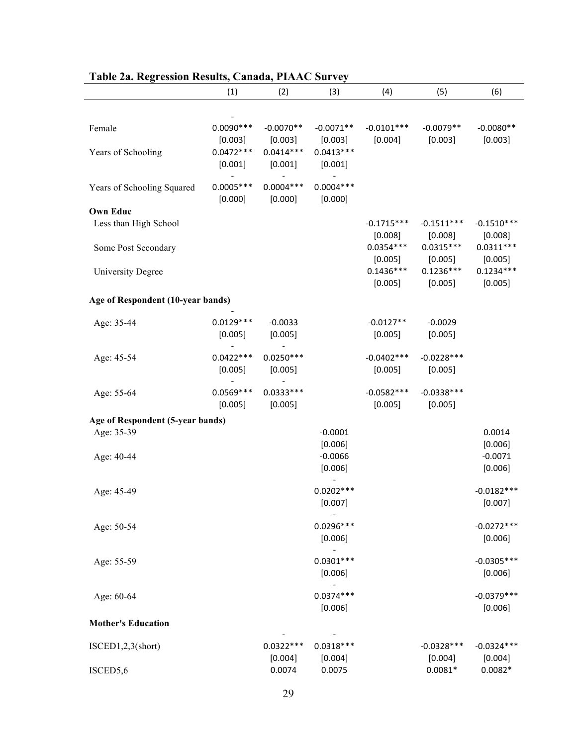|                                          | (1)                               | (2)                               | (3)                               | (4)                     | (5)                     | (6)                     |
|------------------------------------------|-----------------------------------|-----------------------------------|-----------------------------------|-------------------------|-------------------------|-------------------------|
| Female                                   | $0.0090***$                       | $-0.0070**$                       | $-0.0071**$                       | $-0.0101***$            | $-0.0079**$             | $-0.0080**$             |
| Years of Schooling                       | [0.003]<br>$0.0472***$<br>[0.001] | [0.003]<br>$0.0414***$<br>[0.001] | [0.003]<br>$0.0413***$<br>[0.001] | [0.004]                 | [0.003]                 | [0.003]                 |
| Years of Schooling Squared               | $0.0005***$<br>[0.000]            | $0.0004***$<br>[0.000]            | $0.0004***$<br>[0.000]            |                         |                         |                         |
| <b>Own Educ</b><br>Less than High School |                                   |                                   |                                   | $-0.1715***$<br>[0.008] | $-0.1511***$<br>[0.008] | $-0.1510***$<br>[0.008] |
| Some Post Secondary                      |                                   |                                   |                                   | $0.0354***$<br>[0.005]  | $0.0315***$<br>[0.005]  | $0.0311***$<br>[0.005]  |
| <b>University Degree</b>                 |                                   |                                   |                                   | $0.1436***$<br>[0.005]  | $0.1236***$<br>[0.005]  | $0.1234***$<br>[0.005]  |
| Age of Respondent (10-year bands)        |                                   |                                   |                                   |                         |                         |                         |
| Age: 35-44                               | $0.0129***$<br>[0.005]            | $-0.0033$<br>[0.005]              |                                   | $-0.0127**$<br>[0.005]  | $-0.0029$<br>[0.005]    |                         |
| Age: 45-54                               | $0.0422***$<br>[0.005]            | $0.0250***$<br>[0.005]            |                                   | $-0.0402***$<br>[0.005] | $-0.0228***$<br>[0.005] |                         |
| Age: 55-64                               | $0.0569***$<br>[0.005]            | $0.0333***$<br>[0.005]            |                                   | $-0.0582***$<br>[0.005] | $-0.0338***$<br>[0.005] |                         |
| Age of Respondent (5-year bands)         |                                   |                                   |                                   |                         |                         |                         |
| Age: 35-39                               |                                   |                                   | $-0.0001$<br>[0.006]              |                         |                         | 0.0014<br>[0.006]       |
| Age: 40-44                               |                                   |                                   | $-0.0066$<br>[0.006]              |                         |                         | $-0.0071$<br>[0.006]    |
| Age: 45-49                               |                                   |                                   | $0.0202***$<br>[0.007]            |                         |                         | $-0.0182***$<br>[0.007] |
| Age: 50-54                               |                                   |                                   | $0.0296***$<br>[0.006]            |                         |                         | $-0.0272***$<br>[0.006] |
| Age: 55-59                               |                                   |                                   | $0.0301***$<br>[0.006]            |                         |                         | $-0.0305***$<br>[0.006] |
| Age: 60-64                               |                                   |                                   | $0.0374***$<br>[0.006]            |                         |                         | $-0.0379***$<br>[0.006] |
| <b>Mother's Education</b>                |                                   |                                   |                                   |                         |                         |                         |
| ISCED1,2,3(short)                        |                                   | $0.0322***$<br>[0.004]            | $0.0318***$<br>[0.004]            |                         | $-0.0328***$<br>[0.004] | $-0.0324***$<br>[0.004] |
| ISCED5,6                                 |                                   | 0.0074                            | 0.0075                            |                         | $0.0081*$               | $0.0082*$               |

## **Table 2a. Regression Results, Canada, PIAAC Survey**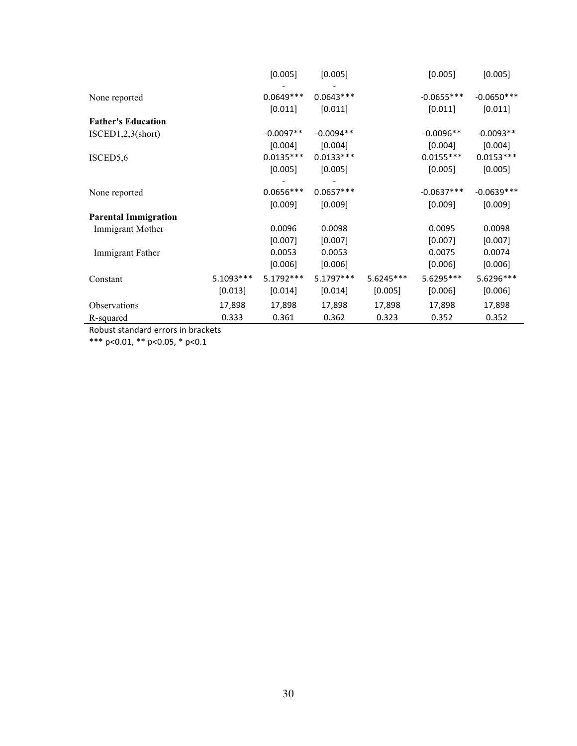|                             |            | [0.005]     | [0.005]     |             | [0.005]      | [0.005]      |
|-----------------------------|------------|-------------|-------------|-------------|--------------|--------------|
| None reported               |            | $0.0649***$ | $0.0643***$ |             | $-0.0655***$ | $-0.0650***$ |
|                             |            | [0.011]     | [0.011]     |             | [0.011]      | [0.011]      |
| <b>Father's Education</b>   |            |             |             |             |              |              |
| ISCED1, 2, 3(short)         |            | $-0.0097**$ | $-0.0094**$ |             | $-0.0096**$  | $-0.0093**$  |
|                             |            | [0.004]     | [0.004]     |             | [0.004]      | [0.004]      |
| ISCED5,6                    |            | $0.0135***$ | $0.0133***$ |             | $0.0155***$  | $0.0153***$  |
|                             |            | [0.005]     | [0.005]     |             | [0.005]      | [0.005]      |
| None reported               |            | $0.0656***$ | $0.0657***$ |             | $-0.0637***$ | $-0.0639***$ |
|                             |            | [0.009]     | [0.009]     |             | [0.009]      | [0.009]      |
| <b>Parental Immigration</b> |            |             |             |             |              |              |
| Immigrant Mother            |            | 0.0096      | 0.0098      |             | 0.0095       | 0.0098       |
|                             |            | [0.007]     | [0.007]     |             | [0.007]      | [0.007]      |
| Immigrant Father            |            | 0.0053      | 0.0053      |             | 0.0075       | 0.0074       |
|                             |            | [0.006]     | [0.006]     |             | [0.006]      | [0.006]      |
| Constant                    | 5.1093 *** | 5.1792 ***  | 5.1797***   | $5.6245***$ | 5.6295***    | 5.6296***    |
|                             | [0.013]    | [0.014]     | [0.014]     | [0.005]     | [0.006]      | [0.006]      |
| Observations                | 17,898     | 17,898      | 17,898      | 17,898      | 17,898       | 17,898       |
| R-squared                   | 0.333      | 0.361       | 0.362       | 0.323       | 0.352        | 0.352        |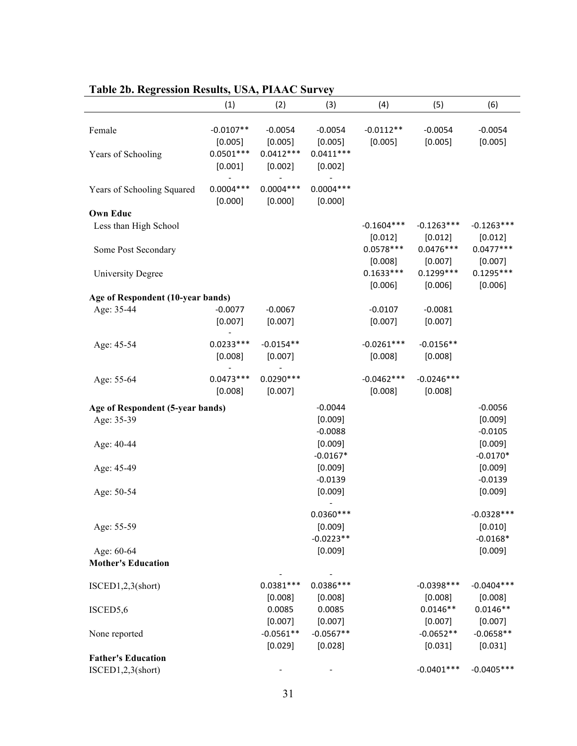|                                   | (1)                    | (2)                    | (3)                    | (4)                     | (5)                     | (6)                     |
|-----------------------------------|------------------------|------------------------|------------------------|-------------------------|-------------------------|-------------------------|
| Female                            | $-0.0107**$<br>[0.005] | $-0.0054$<br>[0.005]   | $-0.0054$<br>[0.005]   | $-0.0112**$<br>[0.005]  | $-0.0054$<br>[0.005]    | $-0.0054$<br>[0.005]    |
| Years of Schooling                | $0.0501***$<br>[0.001] | $0.0412***$<br>[0.002] | $0.0411***$<br>[0.002] |                         |                         |                         |
| Years of Schooling Squared        | $0.0004***$<br>[0.000] | $0.0004***$<br>[0.000] | $0.0004***$<br>[0.000] |                         |                         |                         |
| <b>Own Educ</b>                   |                        |                        |                        |                         |                         |                         |
| Less than High School             |                        |                        |                        | $-0.1604***$<br>[0.012] | $-0.1263***$<br>[0.012] | $-0.1263***$<br>[0.012] |
| Some Post Secondary               |                        |                        |                        | $0.0578***$<br>[0.008]  | $0.0476***$<br>[0.007]  | $0.0477***$<br>[0.007]  |
| <b>University Degree</b>          |                        |                        |                        | $0.1633***$<br>[0.006]  | $0.1299***$<br>[0.006]  | $0.1295***$<br>[0.006]  |
| Age of Respondent (10-year bands) |                        |                        |                        |                         |                         |                         |
| Age: 35-44                        | $-0.0077$              | $-0.0067$              |                        | $-0.0107$               | $-0.0081$               |                         |
|                                   | [0.007]                | [0.007]                |                        | [0.007]                 | [0.007]                 |                         |
| Age: 45-54                        | $0.0233***$            | $-0.0154**$            |                        | $-0.0261***$            | $-0.0156**$             |                         |
|                                   | [0.008]                | [0.007]                |                        | [0.008]                 | [0.008]                 |                         |
| Age: 55-64                        | $0.0473***$<br>[0.008] | $0.0290***$<br>[0.007] |                        | $-0.0462***$<br>[0.008] | $-0.0246***$<br>[0.008] |                         |
|                                   |                        |                        |                        |                         |                         |                         |
| Age of Respondent (5-year bands)  |                        |                        | $-0.0044$              |                         |                         | $-0.0056$               |
| Age: 35-39                        |                        |                        | [0.009]                |                         |                         | [0.009]                 |
|                                   |                        |                        | $-0.0088$              |                         |                         | $-0.0105$               |
| Age: 40-44                        |                        |                        | [0.009]                |                         |                         | [0.009]                 |
|                                   |                        |                        | $-0.0167*$             |                         |                         | $-0.0170*$              |
| Age: 45-49                        |                        |                        | [0.009]                |                         |                         | [0.009]                 |
|                                   |                        |                        | $-0.0139$              |                         |                         | $-0.0139$               |
| Age: 50-54                        |                        |                        | [0.009]                |                         |                         | [0.009]                 |
|                                   |                        |                        | $0.0360***$            |                         |                         | $-0.0328***$            |
| Age: 55-59                        |                        |                        | [0.009]                |                         |                         | [0.010]                 |
|                                   |                        |                        | $-0.0223**$            |                         |                         | $-0.0168*$              |
| Age: 60-64                        |                        |                        | [0.009]                |                         |                         | [0.009]                 |
| <b>Mother's Education</b>         |                        |                        |                        |                         |                         |                         |
| ISCED1,2,3(short)                 |                        | $0.0381***$            | $0.0386***$            |                         | $-0.0398***$            | $-0.0404***$            |
|                                   |                        | [0.008]                | [0.008]                |                         | [0.008]                 | [0.008]                 |
| ISCED5,6                          |                        | 0.0085                 | 0.0085                 |                         | $0.0146**$              | $0.0146**$              |
|                                   |                        | [0.007]                | [0.007]                |                         | [0.007]                 | [0.007]                 |
| None reported                     |                        | $-0.0561**$            | $-0.0567**$            |                         | $-0.0652**$             | $-0.0658**$             |
|                                   |                        | [0.029]                | [0.028]                |                         | [0.031]                 | [0.031]                 |
| <b>Father's Education</b>         |                        |                        |                        |                         |                         |                         |
| ISCED1,2,3(short)                 |                        |                        |                        |                         | $-0.0401***$            | $-0.0405***$            |

## **Table 2b. Regression Results, USA, PIAAC Survey**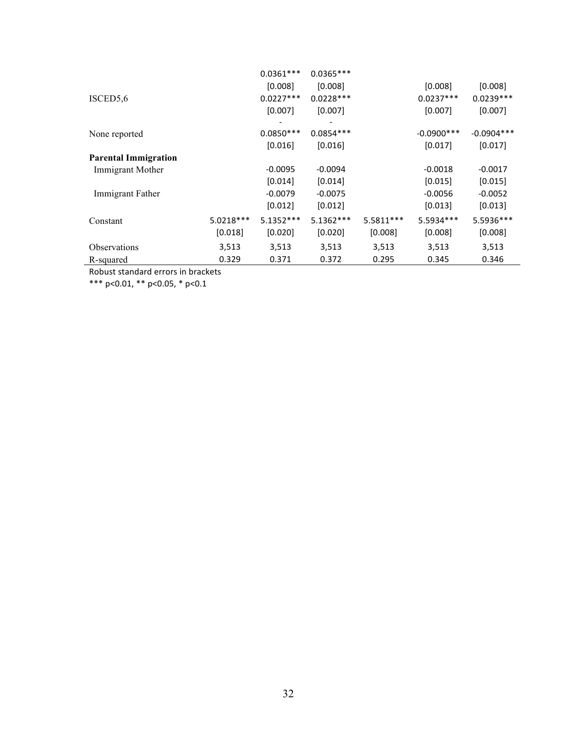| ISCED5,6                    |             | $0.0361***$<br>[0.008]<br>$0.0227***$<br>$[0.007]$ | $0.0365***$<br>[0.008]<br>$0.0228***$<br>[0.007] |           | [0.008]<br>$0.0237***$<br>[0.007] | [0.008]<br>$0.0239***$<br>[0.007] |
|-----------------------------|-------------|----------------------------------------------------|--------------------------------------------------|-----------|-----------------------------------|-----------------------------------|
| None reported               |             | $0.0850***$                                        | $0.0854***$                                      |           | $-0.0900$ ***                     | $-0.0904***$                      |
|                             |             | [0.016]                                            | [0.016]                                          |           | [0.017]                           | $[0.017]$                         |
| <b>Parental Immigration</b> |             |                                                    |                                                  |           |                                   |                                   |
| Immigrant Mother            |             | $-0.0095$                                          | $-0.0094$                                        |           | $-0.0018$                         | $-0.0017$                         |
|                             |             | [0.014]                                            | [0.014]                                          |           | [0.015]                           | [0.015]                           |
| Immigrant Father            |             | $-0.0079$                                          | $-0.0075$                                        |           | $-0.0056$                         | $-0.0052$                         |
|                             |             | $[0.012]$                                          | [0.012]                                          |           | $[0.013]$                         | $[0.013]$                         |
| Constant                    | $5.0218***$ | $5.1352***$                                        | $5.1362***$                                      | 5.5811*** | 5.5934 ***                        | 5.5936***                         |
|                             | [0.018]     | $[0.020]$                                          | [0.020]                                          | [0.008]   | [0.008]                           | [0.008]                           |
| Observations                | 3,513       | 3,513                                              | 3,513                                            | 3,513     | 3,513                             | 3,513                             |
| R-squared                   | 0.329       | 0.371                                              | 0.372                                            | 0.295     | 0.345                             | 0.346                             |

\*\*\* p<0.01, \*\* p<0.05, \* p<0.1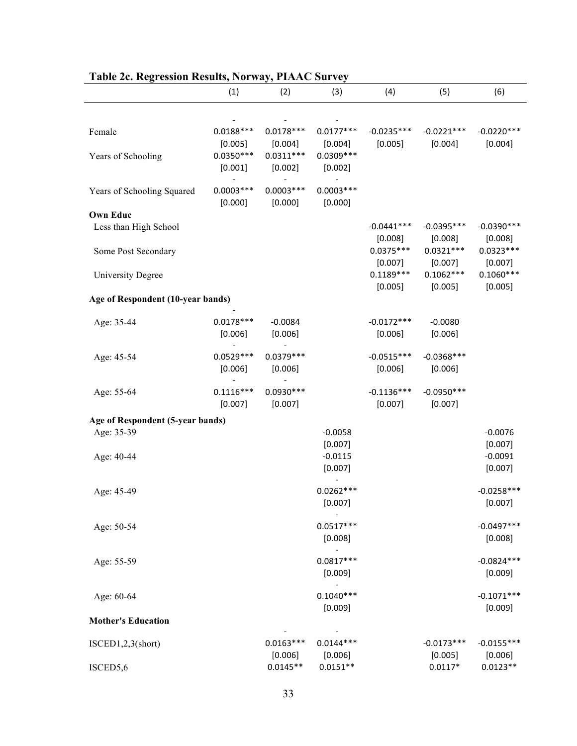|                                   | (1)                    | (2)                    | (3)                    | (4)                     | (5)                     | (6)                     |
|-----------------------------------|------------------------|------------------------|------------------------|-------------------------|-------------------------|-------------------------|
|                                   |                        |                        |                        |                         |                         |                         |
| Female                            | $0.0188***$<br>[0.005] | $0.0178***$<br>[0.004] | $0.0177***$<br>[0.004] | $-0.0235***$<br>[0.005] | $-0.0221***$<br>[0.004] | $-0.0220***$<br>[0.004] |
| Years of Schooling                | $0.0350***$<br>[0.001] | $0.0311***$<br>[0.002] | $0.0309***$<br>[0.002] |                         |                         |                         |
| Years of Schooling Squared        | $0.0003***$<br>[0.000] | $0.0003***$<br>[0.000] | $0.0003***$<br>[0.000] |                         |                         |                         |
| <b>Own Educ</b>                   |                        |                        |                        |                         |                         |                         |
| Less than High School             |                        |                        |                        | $-0.0441***$<br>[0.008] | $-0.0395***$<br>[0.008] | $-0.0390***$<br>[0.008] |
| Some Post Secondary               |                        |                        |                        | $0.0375***$<br>[0.007]  | $0.0321***$<br>[0.007]  | $0.0323***$<br>[0.007]  |
| <b>University Degree</b>          |                        |                        |                        | $0.1189***$<br>[0.005]  | $0.1062***$<br>[0.005]  | $0.1060***$<br>[0.005]  |
| Age of Respondent (10-year bands) |                        |                        |                        |                         |                         |                         |
| Age: 35-44                        | $0.0178***$            | $-0.0084$              |                        | $-0.0172***$            | $-0.0080$               |                         |
|                                   | [0.006]                | [0.006]                |                        | [0.006]                 | [0.006]                 |                         |
| Age: 45-54                        | $0.0529***$<br>[0.006] | $0.0379***$<br>[0.006] |                        | $-0.0515***$<br>[0.006] | $-0.0368***$<br>[0.006] |                         |
| Age: 55-64                        | $0.1116***$<br>[0.007] | $0.0930***$<br>[0.007] |                        | $-0.1136***$<br>[0.007] | $-0.0950***$<br>[0.007] |                         |
| Age of Respondent (5-year bands)  |                        |                        |                        |                         |                         |                         |
| Age: 35-39                        |                        |                        | $-0.0058$              |                         |                         | $-0.0076$               |
|                                   |                        |                        | [0.007]                |                         |                         | [0.007]                 |
| Age: 40-44                        |                        |                        | $-0.0115$              |                         |                         | $-0.0091$               |
|                                   |                        |                        | [0.007]                |                         |                         | [0.007]                 |
| Age: 45-49                        |                        |                        | $0.0262***$<br>[0.007] |                         |                         | $-0.0258***$<br>[0.007] |
|                                   |                        |                        |                        |                         |                         |                         |
| Age: 50-54                        |                        |                        | $0.0517***$<br>[0.008] |                         |                         | $-0.0497***$<br>[0.008] |
|                                   |                        |                        |                        |                         |                         |                         |
| Age: 55-59                        |                        |                        | $0.0817***$<br>[0.009] |                         |                         | $-0.0824***$<br>[0.009] |
| Age: 60-64                        |                        |                        | $0.1040***$            |                         |                         | $-0.1071***$            |
| <b>Mother's Education</b>         |                        |                        | [0.009]                |                         |                         | [0.009]                 |
|                                   |                        |                        |                        |                         |                         |                         |
| ISCED1,2,3(short)                 |                        | $0.0163***$<br>[0.006] | $0.0144***$<br>[0.006] |                         | $-0.0173***$<br>[0.005] | $-0.0155***$<br>[0.006] |
| ISCED5,6                          |                        | $0.0145**$             | $0.0151**$             |                         | $0.0117*$               | $0.0123**$              |

### **Table 2c. Regression Results, Norway, PIAAC Survey**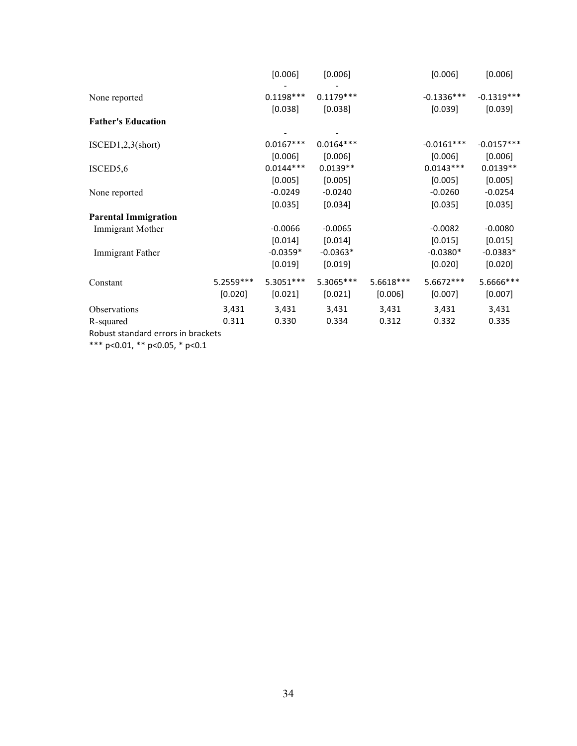|                             |             | [0.006]                | [0.006]                |           | [0.006]                 | [0.006]                 |
|-----------------------------|-------------|------------------------|------------------------|-----------|-------------------------|-------------------------|
| None reported               |             | $0.1198***$<br>[0.038] | $0.1179***$<br>[0.038] |           | $-0.1336***$<br>[0.039] | $-0.1319***$<br>[0.039] |
| <b>Father's Education</b>   |             |                        |                        |           |                         |                         |
| ISCED1, 2, 3(short)         |             | $0.0167***$            | $0.0164***$            |           | $-0.0161***$            | $-0.0157***$            |
| ISCED5,6                    |             | [0.006]<br>$0.0144***$ | [0.006]<br>$0.0139**$  |           | [0.006]<br>$0.0143***$  | [0.006]<br>$0.0139**$   |
|                             |             | [0.005]                | [0.005]                |           | [0.005]                 | [0.005]                 |
| None reported               |             | $-0.0249$              | $-0.0240$              |           | $-0.0260$               | $-0.0254$               |
|                             |             | [0.035]                | [0.034]                |           | [0.035]                 | [0.035]                 |
| <b>Parental Immigration</b> |             |                        |                        |           |                         |                         |
| Immigrant Mother            |             | $-0.0066$              | $-0.0065$              |           | $-0.0082$               | $-0.0080$               |
|                             |             | [0.014]                | [0.014]                |           | [0.015]                 | [0.015]                 |
| Immigrant Father            |             | $-0.0359*$             | $-0.0363*$             |           | $-0.0380*$              | $-0.0383*$              |
|                             |             | [0.019]                | [0.019]                |           | [0.020]                 | [0.020]                 |
| Constant                    | $5.2559***$ | 5.3051 ***             | 5.3065***              | 5.6618*** | 5.6672 ***              | 5.6666***               |
|                             | [0.020]     | [0.021]                | [0.021]                | [0.006]   | [0.007]                 | [0.007]                 |
| Observations                | 3,431       | 3,431                  | 3,431                  | 3,431     | 3,431                   | 3,431                   |
| R-squared                   | 0.311       | 0.330                  | 0.334                  | 0.312     | 0.332                   | 0.335                   |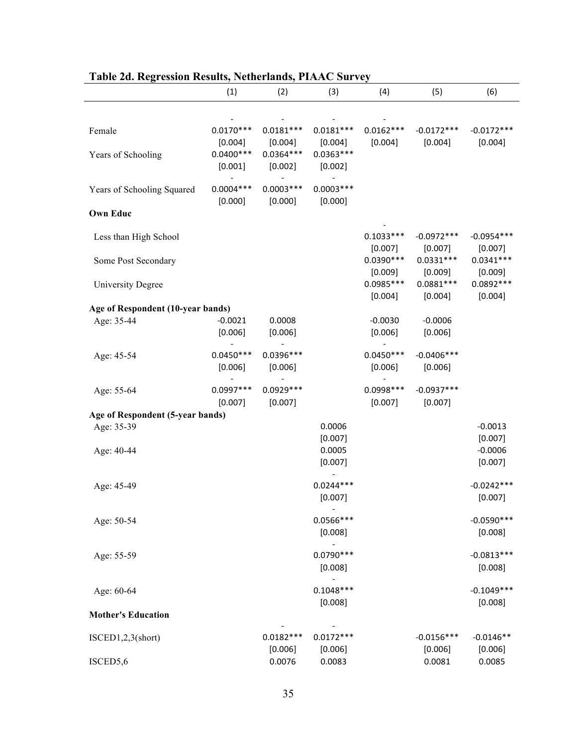|                                   | (1)                    | (2)                    | (3)                    | (4)                    | (5)                     | (6)                     |
|-----------------------------------|------------------------|------------------------|------------------------|------------------------|-------------------------|-------------------------|
|                                   |                        |                        |                        |                        |                         |                         |
| Female                            | $0.0170***$<br>[0.004] | $0.0181***$<br>[0.004] | $0.0181***$<br>[0.004] | $0.0162***$<br>[0.004] | $-0.0172***$<br>[0.004] | $-0.0172***$<br>[0.004] |
| Years of Schooling                | $0.0400***$<br>[0.001] | $0.0364***$<br>[0.002] | $0.0363***$<br>[0.002] |                        |                         |                         |
| Years of Schooling Squared        | $0.0004***$<br>[0.000] | $0.0003***$<br>[0.000] | $0.0003***$<br>[0.000] |                        |                         |                         |
| <b>Own Educ</b>                   |                        |                        |                        |                        |                         |                         |
| Less than High School             |                        |                        |                        | $0.1033***$<br>[0.007] | $-0.0972***$<br>[0.007] | $-0.0954***$<br>[0.007] |
| Some Post Secondary               |                        |                        |                        | $0.0390***$<br>[0.009] | $0.0331***$<br>[0.009]  | $0.0341***$<br>[0.009]  |
| <b>University Degree</b>          |                        |                        |                        | $0.0985***$<br>[0.004] | $0.0881***$<br>[0.004]  | $0.0892***$<br>[0.004]  |
| Age of Respondent (10-year bands) |                        |                        |                        |                        |                         |                         |
| Age: 35-44                        | $-0.0021$<br>[0.006]   | 0.0008<br>[0.006]      |                        | $-0.0030$<br>[0.006]   | $-0.0006$<br>[0.006]    |                         |
| Age: 45-54                        | $0.0450***$<br>[0.006] | 0.0396 ***<br>[0.006]  |                        | $0.0450***$<br>[0.006] | $-0.0406***$<br>[0.006] |                         |
| Age: 55-64                        | $0.0997***$<br>[0.007] | $0.0929***$<br>[0.007] |                        | $0.0998***$<br>[0.007] | $-0.0937***$<br>[0.007] |                         |
| Age of Respondent (5-year bands)  |                        |                        |                        |                        |                         |                         |
| Age: 35-39                        |                        |                        | 0.0006<br>[0.007]      |                        |                         | $-0.0013$<br>[0.007]    |
| Age: 40-44                        |                        |                        | 0.0005<br>[0.007]      |                        |                         | $-0.0006$<br>[0.007]    |
| Age: 45-49                        |                        |                        | $0.0244***$<br>[0.007] |                        |                         | $-0.0242***$<br>[0.007] |
| Age: 50-54                        |                        |                        | $0.0566***$<br>[0.008] |                        |                         | $-0.0590***$<br>[0.008] |
| Age: 55-59                        |                        |                        | $0.0790***$<br>[0.008] |                        |                         | $-0.0813***$<br>[0.008] |
| Age: 60-64                        |                        |                        | $0.1048***$<br>[0.008] |                        |                         | $-0.1049***$<br>[0.008] |
| <b>Mother's Education</b>         |                        |                        |                        |                        |                         |                         |
| ISCED1,2,3(short)                 |                        | $0.0182***$<br>[0.006] | $0.0172***$<br>[0.006] |                        | $-0.0156***$<br>[0.006] | $-0.0146**$<br>[0.006]  |
| ISCED5,6                          |                        | 0.0076                 | 0.0083                 |                        | 0.0081                  | 0.0085                  |

|  |  | Table 2d. Regression Results, Netherlands, PIAAC Survey |
|--|--|---------------------------------------------------------|
|  |  |                                                         |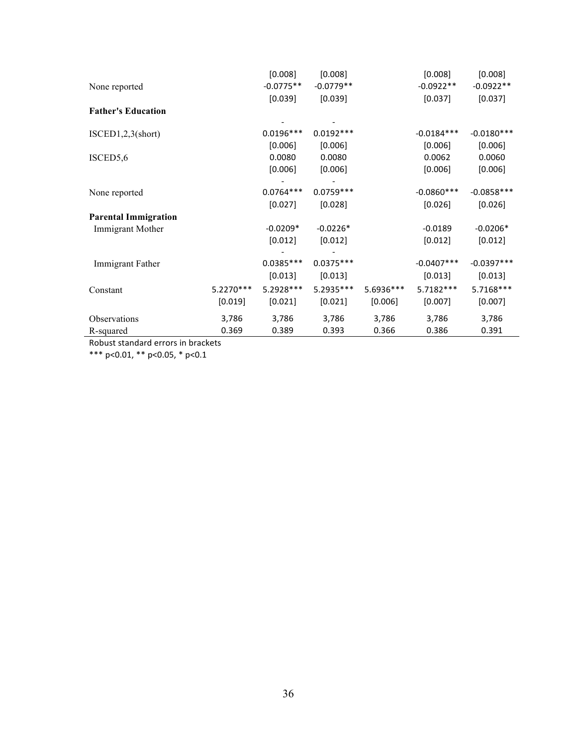|                             |           | [0.008]     | [0.008]     |           | [0.008]      | [0.008]      |
|-----------------------------|-----------|-------------|-------------|-----------|--------------|--------------|
| None reported               |           | $-0.0775**$ | $-0.0779**$ |           | $-0.0922**$  | $-0.0922**$  |
|                             |           | [0.039]     | [0.039]     |           | [0.037]      | [0.037]      |
| <b>Father's Education</b>   |           |             |             |           |              |              |
|                             |           |             |             |           |              |              |
| ISCED1, 2, 3(short)         |           | $0.0196***$ | $0.0192***$ |           | $-0.0184***$ | $-0.0180***$ |
|                             |           | [0.006]     | [0.006]     |           | [0.006]      | [0.006]      |
| ISCED5,6                    |           | 0.0080      | 0.0080      |           | 0.0062       | 0.0060       |
|                             |           | [0.006]     | [0.006]     |           | [0.006]      | [0.006]      |
| None reported               |           | $0.0764***$ | $0.0759***$ |           | $-0.0860***$ | $-0.0858***$ |
|                             |           | [0.027]     | [0.028]     |           | [0.026]      | [0.026]      |
| <b>Parental Immigration</b> |           |             |             |           |              |              |
| Immigrant Mother            |           | $-0.0209*$  | $-0.0226*$  |           | $-0.0189$    | $-0.0206*$   |
|                             |           | [0.012]     | [0.012]     |           | [0.012]      | [0.012]      |
|                             |           |             |             |           |              |              |
| Immigrant Father            |           | $0.0385***$ | $0.0375***$ |           | $-0.0407***$ | $-0.0397***$ |
|                             |           | [0.013]     | [0.013]     |           | [0.013]      | [0.013]      |
| Constant                    | 5.2270*** | 5.2928 ***  | 5.2935 ***  | 5.6936*** | 5.7182 ***   | 5.7168***    |
|                             | $[0.019]$ | [0.021]     | [0.021]     | [0.006]   | [0.007]      | [0.007]      |
| Observations                | 3,786     | 3,786       | 3,786       | 3,786     | 3,786        | 3,786        |
| R-squared                   | 0.369     | 0.389       | 0.393       | 0.366     | 0.386        | 0.391        |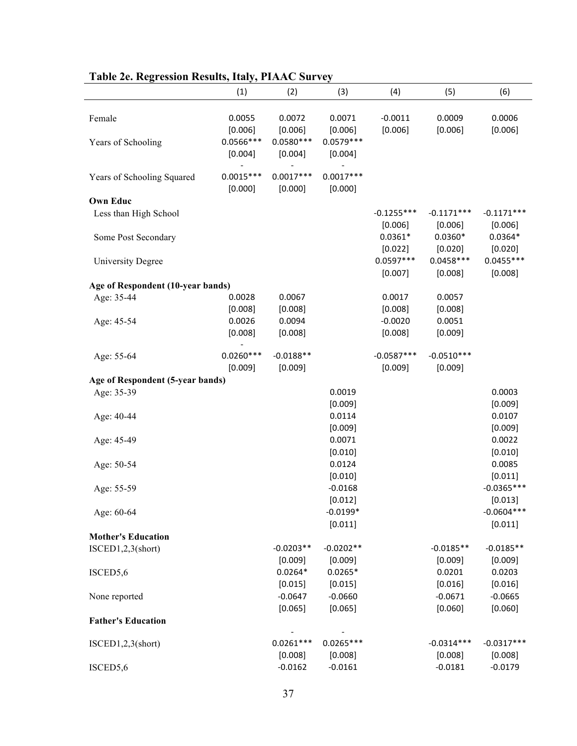| radic zu rugi ussion rusuns, nary, r matu burvuj |                                  |                                  |                                  |                         |                         |                         |
|--------------------------------------------------|----------------------------------|----------------------------------|----------------------------------|-------------------------|-------------------------|-------------------------|
|                                                  | (1)                              | (2)                              | (3)                              | (4)                     | (5)                     | (6)                     |
| Female<br>Years of Schooling                     | 0.0055<br>[0.006]<br>$0.0566***$ | 0.0072<br>[0.006]<br>$0.0580***$ | 0.0071<br>[0.006]<br>$0.0579***$ | $-0.0011$<br>[0.006]    | 0.0009<br>[0.006]       | 0.0006<br>[0.006]       |
|                                                  | [0.004]                          | [0.004]                          | [0.004]                          |                         |                         |                         |
| Years of Schooling Squared                       | $0.0015***$<br>[0.000]           | $0.0017***$<br>[0.000]           | $0.0017***$<br>[0.000]           |                         |                         |                         |
| <b>Own Educ</b>                                  |                                  |                                  |                                  |                         |                         |                         |
| Less than High School                            |                                  |                                  |                                  | $-0.1255***$<br>[0.006] | $-0.1171***$<br>[0.006] | $-0.1171***$<br>[0.006] |
| Some Post Secondary                              |                                  |                                  |                                  | $0.0361*$<br>[0.022]    | $0.0360*$<br>[0.020]    | $0.0364*$<br>[0.020]    |
| <b>University Degree</b>                         |                                  |                                  |                                  | $0.0597***$<br>[0.007]  | $0.0458***$<br>[0.008]  | $0.0455***$<br>[0.008]  |
| Age of Respondent (10-year bands)                |                                  |                                  |                                  |                         |                         |                         |
| Age: 35-44                                       | 0.0028                           | 0.0067                           |                                  | 0.0017                  | 0.0057                  |                         |
|                                                  | [0.008]                          | [0.008]                          |                                  | [0.008]                 | [0.008]                 |                         |
| Age: 45-54                                       | 0.0026                           | 0.0094                           |                                  | $-0.0020$               | 0.0051                  |                         |
|                                                  | [0.008]                          | [0.008]                          |                                  | [0.008]                 | [0.009]                 |                         |
| Age: 55-64                                       | $0.0260***$                      | $-0.0188**$                      |                                  | $-0.0587***$            | $-0.0510***$            |                         |
|                                                  | [0.009]                          | [0.009]                          |                                  | [0.009]                 | [0.009]                 |                         |
| Age of Respondent (5-year bands)                 |                                  |                                  |                                  |                         |                         |                         |
| Age: 35-39                                       |                                  |                                  | 0.0019                           |                         |                         | 0.0003                  |
|                                                  |                                  |                                  | [0.009]                          |                         |                         | [0.009]                 |
| Age: 40-44                                       |                                  |                                  | 0.0114                           |                         |                         | 0.0107                  |
|                                                  |                                  |                                  | [0.009]<br>0.0071                |                         |                         | [0.009]<br>0.0022       |
| Age: 45-49                                       |                                  |                                  | [0.010]                          |                         |                         | [0.010]                 |
| Age: 50-54                                       |                                  |                                  | 0.0124                           |                         |                         | 0.0085                  |
|                                                  |                                  |                                  | [0.010]                          |                         |                         | [0.011]                 |
| Age: 55-59                                       |                                  |                                  | $-0.0168$                        |                         |                         | $-0.0365***$            |
|                                                  |                                  |                                  | [0.012]                          |                         |                         | [0.013]                 |
| Age: 60-64                                       |                                  |                                  | $-0.0199*$                       |                         |                         | $-0.0604***$            |
|                                                  |                                  |                                  | [0.011]                          |                         |                         | [0.011]                 |
| <b>Mother's Education</b>                        |                                  |                                  |                                  |                         |                         |                         |
| ISCED1, 2, 3(short)                              |                                  | $-0.0203**$                      | $-0.0202**$                      |                         | $-0.0185**$             | $-0.0185**$             |
|                                                  |                                  | [0.009]                          | [0.009]                          |                         | [0.009]                 | [0.009]                 |
| ISCED5,6                                         |                                  | $0.0264*$                        | $0.0265*$                        |                         | 0.0201                  | 0.0203                  |
|                                                  |                                  | [0.015]                          | [0.015]                          |                         | [0.016]                 | [0.016]                 |
| None reported                                    |                                  | $-0.0647$                        | $-0.0660$                        |                         | $-0.0671$               | $-0.0665$               |
|                                                  |                                  | [0.065]                          | [0.065]                          |                         | [0.060]                 | [0.060]                 |
| <b>Father's Education</b>                        |                                  |                                  |                                  |                         |                         |                         |
| ISCED1,2,3(short)                                |                                  | $0.0261***$                      | $0.0265***$                      |                         | $-0.0314***$            | $-0.0317***$            |
|                                                  |                                  | [0.008]                          | [0.008]<br>$-0.0161$             |                         | [0.008]                 | [0.008]                 |
| ISCED5,6                                         |                                  | $-0.0162$                        |                                  |                         | $-0.0181$               | $-0.0179$               |

## **Table 2e. Regression Results, Italy, PIAAC Survey**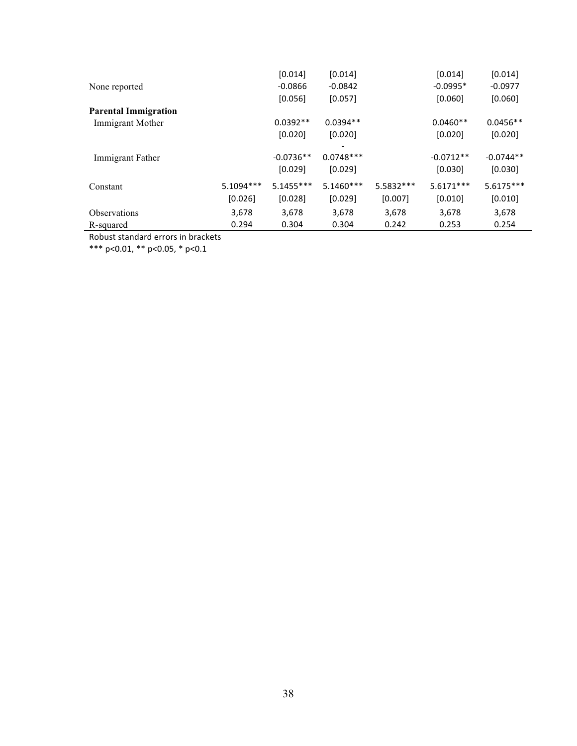|                             |             | [0.014]     | [0.014]     |            | [0.014]     | [0.014]     |
|-----------------------------|-------------|-------------|-------------|------------|-------------|-------------|
| None reported               |             | $-0.0866$   | $-0.0842$   |            | $-0.0995*$  | $-0.0977$   |
|                             |             | [0.056]     | [0.057]     |            | [0.060]     | [0.060]     |
| <b>Parental Immigration</b> |             |             |             |            |             |             |
| Immigrant Mother            |             | $0.0392**$  | $0.0394**$  |            | $0.0460**$  | $0.0456**$  |
|                             |             | [0.020]     | [0.020]     |            | [0.020]     | [0.020]     |
|                             |             |             |             |            |             |             |
| Immigrant Father            |             | $-0.0736**$ | $0.0748***$ |            | $-0.0712**$ | $-0.0744**$ |
|                             |             | [0.029]     | [0.029]     |            | [0.030]     | [0.030]     |
| Constant                    | $5.1094***$ | $5.1455***$ | $5.1460***$ | 5.5832 *** | 5.6171***   | $5.6175***$ |
|                             | [0.026]     | [0.028]     | [0.029]     | [0.007]    | [0.010]     | [0.010]     |
| <b>Observations</b>         | 3,678       | 3,678       | 3,678       | 3,678      | 3,678       | 3,678       |
| R-squared                   | 0.294       | 0.304       | 0.304       | 0.242      | 0.253       | 0.254       |

\*\*\* p<0.01, \*\* p<0.05, \* p<0.1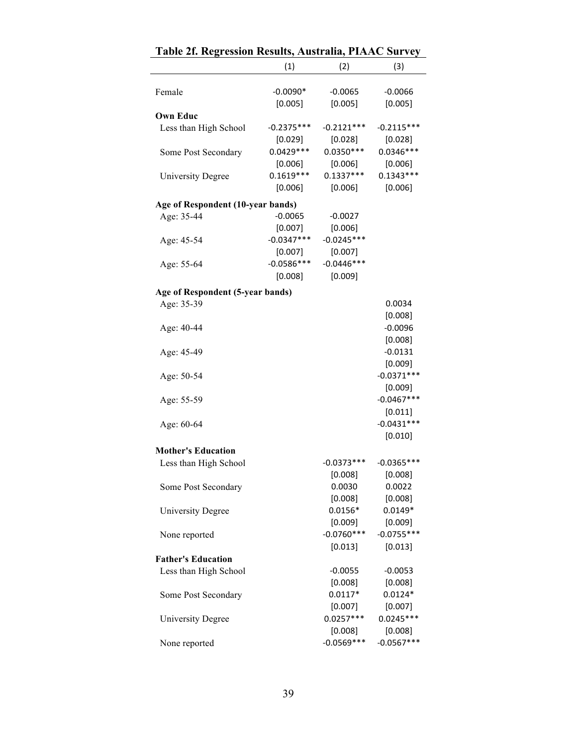|                                   | (1)          | (2)          | (3)          |
|-----------------------------------|--------------|--------------|--------------|
| Female                            | $-0.0090*$   | $-0.0065$    | $-0.0066$    |
| <b>Own Educ</b>                   | [0.005]      | [0.005]      | [0.005]      |
| Less than High School             | $-0.2375***$ | $-0.2121***$ | $-0.2115***$ |
|                                   | [0.029]      | [0.028]      | [0.028]      |
| Some Post Secondary               | $0.0429***$  | $0.0350***$  | $0.0346***$  |
|                                   | [0.006]      | [0.006]      | [0.006]      |
| <b>University Degree</b>          | $0.1619***$  | $0.1337***$  | $0.1343***$  |
|                                   | [0.006]      | [0.006]      | [0.006]      |
| Age of Respondent (10-year bands) |              |              |              |
| Age: 35-44                        | $-0.0065$    | $-0.0027$    |              |
|                                   | [0.007]      | [0.006]      |              |
| Age: 45-54                        | $-0.0347***$ | $-0.0245***$ |              |
|                                   | [0.007]      | [0.007]      |              |
| Age: 55-64                        | $-0.0586***$ | $-0.0446***$ |              |
|                                   | [0.008]      | [0.009]      |              |
| Age of Respondent (5-year bands)  |              |              |              |
| Age: 35-39                        |              |              | 0.0034       |
|                                   |              |              | [0.008]      |
| Age: 40-44                        |              |              | $-0.0096$    |
|                                   |              |              | [0.008]      |
| Age: 45-49                        |              |              | $-0.0131$    |
|                                   |              |              | [0.009]      |
| Age: 50-54                        |              |              | $-0.0371***$ |
|                                   |              |              | [0.009]      |
|                                   |              |              | $-0.0467***$ |
| Age: 55-59                        |              |              | [0.011]      |
|                                   |              |              | $-0.0431***$ |
| Age: 60-64                        |              |              | [0.010]      |
|                                   |              |              |              |
| <b>Mother's Education</b>         |              |              |              |
| Less than High School             |              | $-0.0373***$ | $-0.0365***$ |
|                                   |              | [0.008]      | [0.008]      |
| Some Post Secondary               |              | 0.0030       | 0.0022       |
|                                   |              | [0.008]      | [0.008]      |
| <b>University Degree</b>          |              | $0.0156*$    | $0.0149*$    |
|                                   |              | [0.009]      | [0.009]      |
| None reported                     |              | $-0.0760***$ | $-0.0755***$ |
|                                   |              | [0.013]      | [0.013]      |
| <b>Father's Education</b>         |              |              |              |
| Less than High School             |              | $-0.0055$    | $-0.0053$    |
|                                   |              | [0.008]      | [0.008]      |
| Some Post Secondary               |              | $0.0117*$    | $0.0124*$    |
|                                   |              | [0.007]      | [0.007]      |
| <b>University Degree</b>          |              | $0.0257***$  | $0.0245***$  |
|                                   |              | [0.008]      | [0.008]      |
| None reported                     |              | $-0.0569***$ | $-0.0567***$ |

|  |  | Table 2f. Regression Results, Australia, PIAAC Survey |  |
|--|--|-------------------------------------------------------|--|
|  |  |                                                       |  |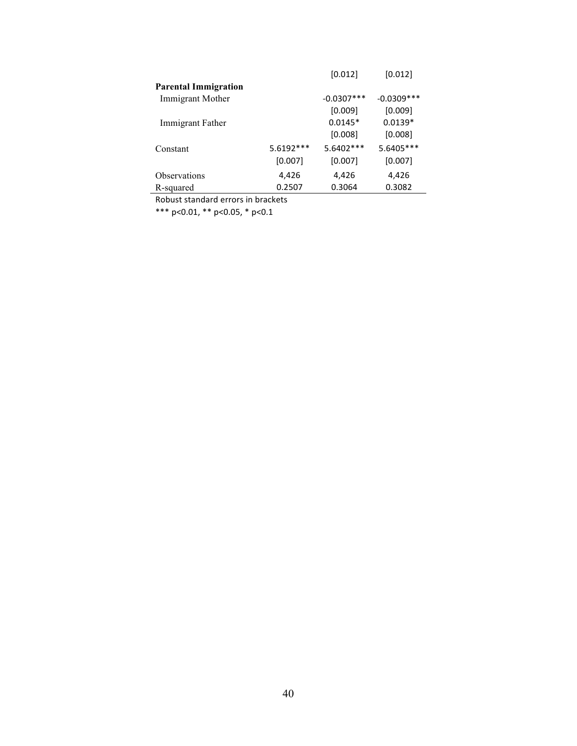|                             |           | [0.012]      | [0.012]       |
|-----------------------------|-----------|--------------|---------------|
| <b>Parental Immigration</b> |           |              |               |
| Immigrant Mother            |           | $-0.0307***$ | $-0.0309$ *** |
|                             |           | [0.009]      | [0.009]       |
| Immigrant Father            |           | $0.0145*$    | $0.0139*$     |
|                             |           | [0.008]      | [0.008]       |
| Constant                    | 5.6192*** | 5.6402 ***   | 5.6405***     |
|                             | [0.007]   | [0.007]      | [0.007]       |
| <b>Observations</b>         | 4,426     | 4,426        | 4,426         |
| R-squared                   | 0.2507    | 0.3064       | 0.3082        |
|                             |           |              |               |

\*\*\* p<0.01, \*\* p<0.05, \* p<0.1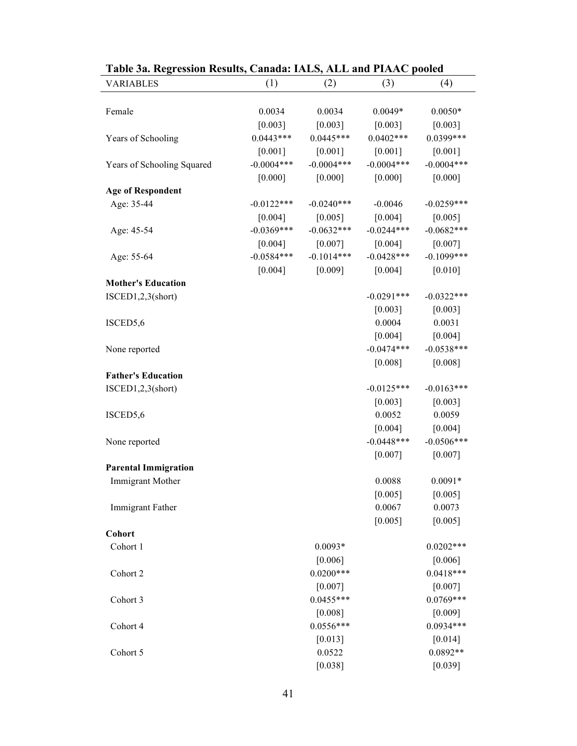| Table 3a. Regression Results, Canada: IALS, ALL and PIAAC pooled |              |              |              |              |
|------------------------------------------------------------------|--------------|--------------|--------------|--------------|
| <b>VARIABLES</b>                                                 | (1)          | (2)          | (3)          | (4)          |
|                                                                  |              |              |              |              |
| Female                                                           | 0.0034       | 0.0034       | $0.0049*$    | $0.0050*$    |
|                                                                  | $[0.003]$    | [0.003]      | [0.003]      | [0.003]      |
| Years of Schooling                                               | $0.0443***$  | $0.0445***$  | $0.0402***$  | $0.0399***$  |
|                                                                  | $[0.001]$    | [0.001]      | $[0.001]$    | [0.001]      |
| Years of Schooling Squared                                       | $-0.0004***$ | $-0.0004***$ | $-0.0004***$ | $-0.0004***$ |
|                                                                  | [0.000]      | [0.000]      | [0.000]      | [0.000]      |
| <b>Age of Respondent</b>                                         |              |              |              |              |
| Age: 35-44                                                       | $-0.0122***$ | $-0.0240***$ | $-0.0046$    | $-0.0259***$ |
|                                                                  | $[0.004]$    | [0.005]      | [0.004]      | [0.005]      |
| Age: 45-54                                                       | $-0.0369***$ | $-0.0632***$ | $-0.0244***$ | $-0.0682***$ |
|                                                                  | [0.004]      | [0.007]      | $[0.004]$    | $[0.007]$    |
| Age: 55-64                                                       | $-0.0584***$ | $-0.1014***$ | $-0.0428***$ | $-0.1099***$ |
|                                                                  | [0.004]      | [0.009]      | $[0.004]$    | $[0.010]$    |
| <b>Mother's Education</b>                                        |              |              |              |              |
| ISCED1,2,3(short)                                                |              |              | $-0.0291***$ | $-0.0322***$ |
|                                                                  |              |              | $[0.003]$    | [0.003]      |
| ISCED5,6                                                         |              |              | 0.0004       | 0.0031       |
|                                                                  |              |              | [0.004]      | [0.004]      |
| None reported                                                    |              |              | $-0.0474***$ | $-0.0538***$ |
|                                                                  |              |              | [0.008]      | [0.008]      |
| <b>Father's Education</b>                                        |              |              |              |              |
| ISCED1,2,3(short)                                                |              |              | $-0.0125***$ | $-0.0163***$ |
|                                                                  |              |              | [0.003]      | [0.003]      |
| ISCED5,6                                                         |              |              | 0.0052       | 0.0059       |
|                                                                  |              |              | [0.004]      | [0.004]      |
| None reported                                                    |              |              | $-0.0448***$ | $-0.0506***$ |
|                                                                  |              |              | $[0.007]$    | $[0.007]$    |
| <b>Parental Immigration</b>                                      |              |              |              |              |
| Immigrant Mother                                                 |              |              | 0.0088       | $0.0091*$    |
|                                                                  |              |              | [0.005]      | [0.005]      |
| Immigrant Father                                                 |              |              | 0.0067       | 0.0073       |
|                                                                  |              |              | [0.005]      | [0.005]      |
| Cohort                                                           |              |              |              |              |
| Cohort 1                                                         |              | $0.0093*$    |              | $0.0202***$  |
|                                                                  |              | [0.006]      |              | [0.006]      |
| Cohort 2                                                         |              | $0.0200***$  |              | $0.0418***$  |
|                                                                  |              | $[0.007]$    |              | [0.007]      |
|                                                                  |              | $0.0455***$  |              | $0.0769***$  |
| Cohort 3                                                         |              |              |              |              |
|                                                                  |              | [0.008]      |              | [0.009]      |
| Cohort 4                                                         |              | $0.0556***$  |              | $0.0934***$  |
|                                                                  |              | [0.013]      |              | [0.014]      |
| Cohort 5                                                         |              | 0.0522       |              | $0.0892**$   |
|                                                                  |              | [0.038]      |              | [0.039]      |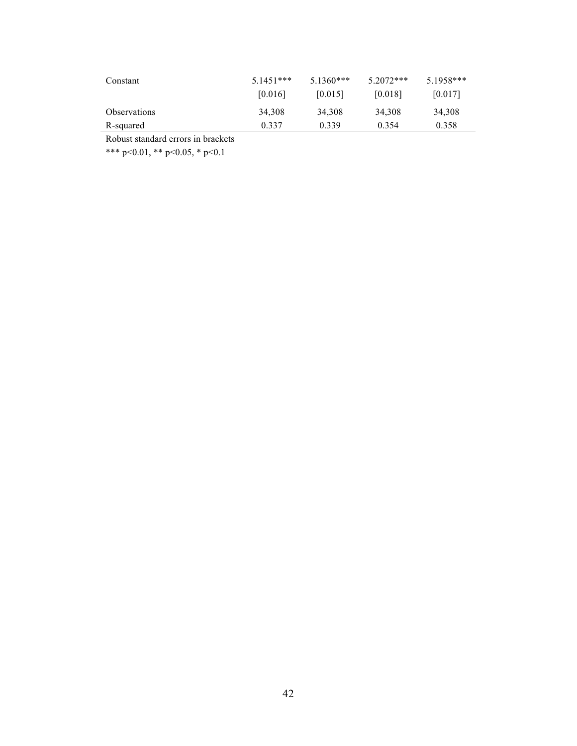| Constant     | $5.1451***$<br>[0.016] | $5.1360***$<br>[0.015] | $5.2072***$<br> 0.018 | $5.1958***$<br>[0.017] |  |
|--------------|------------------------|------------------------|-----------------------|------------------------|--|
| Observations | 34,308                 | 34,308                 | 34,308                | 34,308                 |  |
| R-squared    | 0.337                  | 0.339                  | 0.354                 | 0.358                  |  |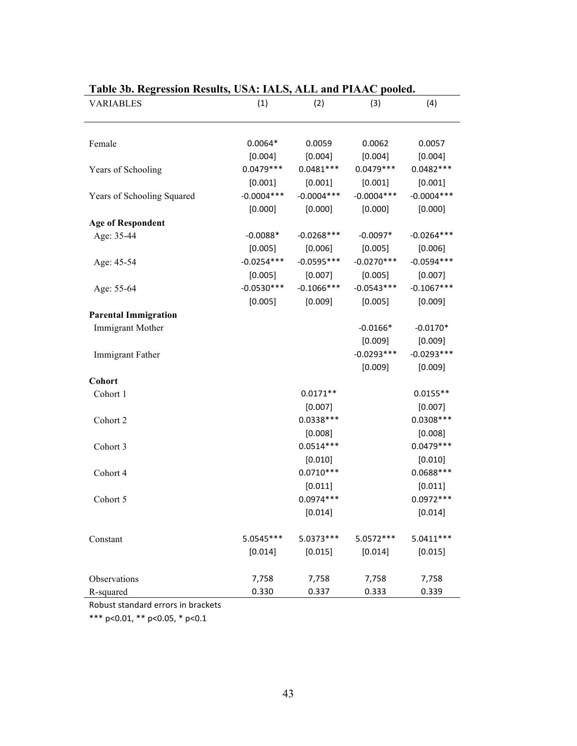| <b>VARIABLES</b>                       | (1)          | (2)          | (3)          | (4)          |
|----------------------------------------|--------------|--------------|--------------|--------------|
| Female                                 | $0.0064*$    | 0.0059       | 0.0062       | 0.0057       |
|                                        | [0.004]      | [0.004]      | [0.004]      | [0.004]      |
| Years of Schooling                     | $0.0479***$  | $0.0481***$  | $0.0479***$  | $0.0482***$  |
|                                        | [0.001]      | $[0.001]$    | [0.001]      | [0.001]      |
| Years of Schooling Squared             | $-0.0004***$ | $-0.0004***$ | $-0.0004***$ | $-0.0004***$ |
|                                        | [0.000]      | [0.000]      | [0.000]      | [0.000]      |
|                                        |              |              |              |              |
| <b>Age of Respondent</b><br>Age: 35-44 | $-0.0088*$   | $-0.0268***$ | $-0.0097*$   | $-0.0264***$ |
|                                        | [0.005]      | [0.006]      | [0.005]      | [0.006]      |
| Age: 45-54                             | $-0.0254***$ | $-0.0595***$ | $-0.0270***$ | $-0.0594***$ |
|                                        | [0.005]      | [0.007]      | [0.005]      | [0.007]      |
| Age: 55-64                             | $-0.0530***$ | $-0.1066***$ | $-0.0543***$ | $-0.1067***$ |
|                                        | [0.005]      | [0.009]      | [0.005]      | [0.009]      |
| <b>Parental Immigration</b>            |              |              |              |              |
| Immigrant Mother                       |              |              | $-0.0166*$   | $-0.0170*$   |
|                                        |              |              | [0.009]      | [0.009]      |
| Immigrant Father                       |              |              | $-0.0293***$ | $-0.0293***$ |
|                                        |              |              | [0.009]      | [0.009]      |
| Cohort                                 |              |              |              |              |
| Cohort 1                               |              | $0.0171**$   |              | $0.0155**$   |
|                                        |              | [0.007]      |              | [0.007]      |
| Cohort 2                               |              | $0.0338***$  |              | $0.0308***$  |
|                                        |              | [0.008]      |              | [0.008]      |
| Cohort 3                               |              | $0.0514***$  |              | $0.0479***$  |
|                                        |              | [0.010]      |              | [0.010]      |
| Cohort 4                               |              | $0.0710***$  |              | $0.0688***$  |
|                                        |              | [0.011]      |              | [0.011]      |
| Cohort 5                               |              | $0.0974***$  |              | $0.0972***$  |
|                                        |              | [0.014]      |              | [0.014]      |
| Constant                               | $5.0545***$  | 5.0373 ***   | 5.0572 ***   | $5.0411***$  |
|                                        | [0.014]      | [0.015]      | [0.014]      | [0.015]      |
| Observations                           | 7,758        | 7,758        | 7,758        | 7,758        |
| R-squared                              | 0.330        | 0.337        | 0.333        | 0.339        |

## **Table 3b. Regression Results, USA: IALS, ALL and PIAAC pooled.**

Robust standard errors in brackets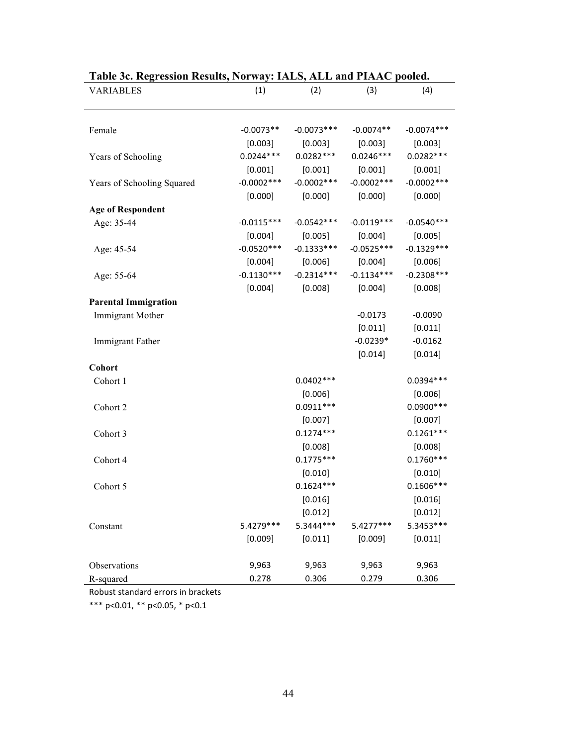| <b>VARIABLES</b>            | (1)          | (2)           | (3)           | (4)           |
|-----------------------------|--------------|---------------|---------------|---------------|
|                             |              |               |               |               |
| Female                      | $-0.0073**$  | $-0.0073***$  | $-0.0074**$   | $-0.0074***$  |
|                             | [0.003]      | [0.003]       | [0.003]       | [0.003]       |
| Years of Schooling          | $0.0244***$  | $0.0282***$   | $0.0246***$   | $0.0282***$   |
|                             | [0.001]      | [0.001]       | [0.001]       | [0.001]       |
| Years of Schooling Squared  | $-0.0002***$ | $-0.0002$ *** | $-0.0002$ *** | $-0.0002$ *** |
|                             | [0.000]      | [0.000]       | [0.000]       | [0.000]       |
| <b>Age of Respondent</b>    |              |               |               |               |
| Age: 35-44                  | $-0.0115***$ | $-0.0542***$  | $-0.0119***$  | $-0.0540***$  |
|                             | [0.004]      | [0.005]       | [0.004]       | [0.005]       |
| Age: 45-54                  | $-0.0520***$ | $-0.1333***$  | $-0.0525***$  | $-0.1329***$  |
|                             | [0.004]      | [0.006]       | [0.004]       | [0.006]       |
| Age: 55-64                  | $-0.1130***$ | $-0.2314***$  | $-0.1134***$  | $-0.2308***$  |
|                             | [0.004]      | [0.008]       | [0.004]       | [0.008]       |
| <b>Parental Immigration</b> |              |               |               |               |
| Immigrant Mother            |              |               | $-0.0173$     | $-0.0090$     |
|                             |              |               | [0.011]       | [0.011]       |
| Immigrant Father            |              |               | $-0.0239*$    | $-0.0162$     |
|                             |              |               | [0.014]       | [0.014]       |
| Cohort                      |              |               |               |               |
| Cohort 1                    |              | $0.0402***$   |               | 0.0394 ***    |
|                             |              | [0.006]       |               | [0.006]       |
| Cohort 2                    |              | $0.0911***$   |               | $0.0900***$   |
|                             |              | [0.007]       |               | [0.007]       |
| Cohort 3                    |              | $0.1274***$   |               | $0.1261***$   |
|                             |              | [0.008]       |               | [0.008]       |
| Cohort 4                    |              | $0.1775***$   |               | $0.1760***$   |
|                             |              | [0.010]       |               | [0.010]       |
| Cohort 5                    |              | $0.1624***$   |               | $0.1606***$   |
|                             |              | [0.016]       |               | [0.016]       |
|                             |              | [0.012]       |               | [0.012]       |
| Constant                    | 5.4279 ***   | 5.3444***     | 5.4277***     | 5.3453 ***    |
|                             | [0.009]      | [0.011]       | [0.009]       | [0.011]       |
| Observations                | 9,963        | 9,963         | 9,963         | 9,963         |
| R-squared                   | 0.278        | 0.306         | 0.279         | 0.306         |

## **Table 3c. Regression Results, Norway: IALS, ALL and PIAAC pooled.**

Robust standard errors in brackets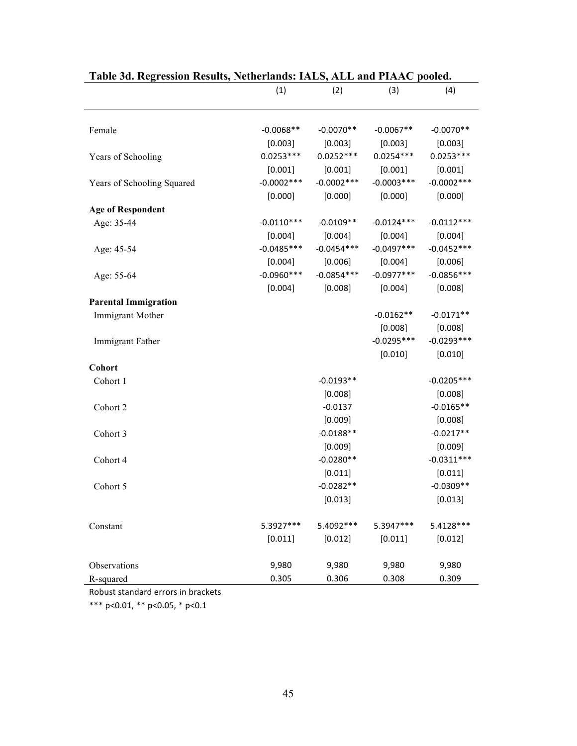| Table 5d. Regression Results, incluerianus: TALS, ALL and FIAAC pooled. |               |              |              |              |  |
|-------------------------------------------------------------------------|---------------|--------------|--------------|--------------|--|
|                                                                         | (1)           | (2)          | (3)          | (4)          |  |
|                                                                         |               |              |              |              |  |
| Female                                                                  | $-0.0068**$   | $-0.0070**$  | $-0.0067**$  | $-0.0070**$  |  |
|                                                                         | [0.003]       | [0.003]      | [0.003]      | [0.003]      |  |
| Years of Schooling                                                      | $0.0253***$   | $0.0252***$  | $0.0254***$  | $0.0253***$  |  |
|                                                                         | [0.001]       | [0.001]      | [0.001]      | [0.001]      |  |
| Years of Schooling Squared                                              | $-0.0002$ *** | $-0.0002***$ | $-0.0003***$ | $-0.0002***$ |  |
|                                                                         | [0.000]       | [0.000]      | [0.000]      | [0.000]      |  |
| <b>Age of Respondent</b>                                                |               |              |              |              |  |
| Age: 35-44                                                              | $-0.0110***$  | $-0.0109**$  | $-0.0124***$ | $-0.0112***$ |  |
|                                                                         | [0.004]       | [0.004]      | [0.004]      | [0.004]      |  |
| Age: 45-54                                                              | $-0.0485***$  | $-0.0454***$ | $-0.0497***$ | $-0.0452***$ |  |
|                                                                         | [0.004]       | [0.006]      | [0.004]      | [0.006]      |  |
| Age: 55-64                                                              | $-0.0960***$  | $-0.0854***$ | $-0.0977***$ | $-0.0856***$ |  |
|                                                                         | [0.004]       | [0.008]      | [0.004]      | [0.008]      |  |
| <b>Parental Immigration</b>                                             |               |              |              |              |  |
| <b>Immigrant Mother</b>                                                 |               |              | $-0.0162**$  | $-0.0171**$  |  |
|                                                                         |               |              | [0.008]      | [0.008]      |  |
| Immigrant Father                                                        |               |              | $-0.0295***$ | $-0.0293***$ |  |
|                                                                         |               |              | [0.010]      | [0.010]      |  |
| Cohort                                                                  |               |              |              |              |  |
| Cohort 1                                                                |               | $-0.0193**$  |              | $-0.0205***$ |  |
|                                                                         |               | [0.008]      |              | [0.008]      |  |
| Cohort 2                                                                |               | $-0.0137$    |              | $-0.0165**$  |  |
|                                                                         |               | [0.009]      |              | [0.008]      |  |
| Cohort 3                                                                |               | $-0.0188**$  |              | $-0.0217**$  |  |
|                                                                         |               | [0.009]      |              | [0.009]      |  |
| Cohort 4                                                                |               | $-0.0280**$  |              | $-0.0311***$ |  |
|                                                                         |               | [0.011]      |              | [0.011]      |  |
| Cohort 5                                                                |               | $-0.0282**$  |              | $-0.0309**$  |  |
|                                                                         |               | [0.013]      |              | [0.013]      |  |
| Constant                                                                | 5.3927***     | 5.4092 ***   | 5.3947***    | 5.4128***    |  |
|                                                                         | [0.011]       | [0.012]      | [0.011]      | [0.012]      |  |
| Observations                                                            | 9,980         | 9,980        | 9,980        | 9,980        |  |
| R-squared                                                               | 0.305         | 0.306        | 0.308        | 0.309        |  |

### **Table 3d. Regression Results, Netherlands: IALS, ALL and PIAAC pooled.**

Robust standard errors in brackets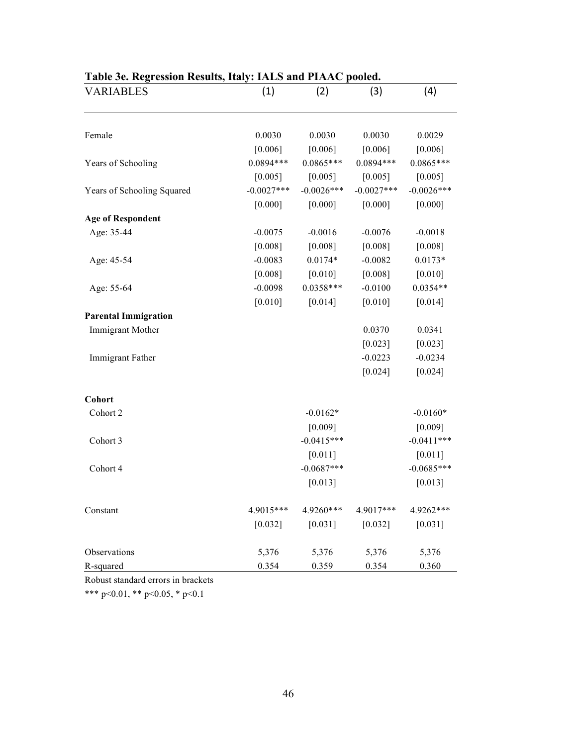| <b>VARIABLES</b>            | (1)          | (2)           | (3)          | (4)          |
|-----------------------------|--------------|---------------|--------------|--------------|
|                             |              |               |              |              |
| Female                      | 0.0030       | 0.0030        | 0.0030       | 0.0029       |
|                             | [0.006]      | [0.006]       | [0.006]      | [0.006]      |
| Years of Schooling          | $0.0894***$  | $0.0865***$   | $0.0894***$  | $0.0865***$  |
|                             | [0.005]      | [0.005]       | [0.005]      | [0.005]      |
| Years of Schooling Squared  | $-0.0027***$ | $-0.0026$ *** | $-0.0027***$ | $-0.0026***$ |
|                             | [0.000]      | [0.000]       | [0.000]      | [0.000]      |
| <b>Age of Respondent</b>    |              |               |              |              |
| Age: 35-44                  | $-0.0075$    | $-0.0016$     | $-0.0076$    | $-0.0018$    |
|                             | [0.008]      | [0.008]       | [0.008]      | [0.008]      |
| Age: 45-54                  | $-0.0083$    | $0.0174*$     | $-0.0082$    | $0.0173*$    |
|                             | [0.008]      | $[0.010]$     | [0.008]      | [0.010]      |
| Age: 55-64                  | $-0.0098$    | $0.0358***$   | $-0.0100$    | $0.0354**$   |
|                             | [0.010]      | $[0.014]$     | [0.010]      | $[0.014]$    |
| <b>Parental Immigration</b> |              |               |              |              |
| Immigrant Mother            |              |               | 0.0370       | 0.0341       |
|                             |              |               | [0.023]      | [0.023]      |
| Immigrant Father            |              |               | $-0.0223$    | $-0.0234$    |
|                             |              |               | [0.024]      | [0.024]      |
| Cohort                      |              |               |              |              |
| Cohort 2                    |              | $-0.0162*$    |              | $-0.0160*$   |
|                             |              | [0.009]       |              | [0.009]      |
| Cohort 3                    |              | $-0.0415***$  |              | $-0.0411***$ |
|                             |              | $[0.011]$     |              | [0.011]      |
| Cohort 4                    |              | $-0.0687***$  |              | $-0.0685***$ |
|                             |              | [0.013]       |              | [0.013]      |
| Constant                    | 4.9015***    | 4.9260***     | 4.9017***    | 4.9262***    |
|                             | $[0.032]$    | [0.031]       | [0.032]      | [0.031]      |
| Observations                | 5,376        | 5,376         | 5,376        | 5,376        |
| R-squared                   | 0.354        | 0.359         | 0.354        | 0.360        |

## **Table 3e. Regression Results, Italy: IALS and PIAAC pooled.**

Robust standard errors in brackets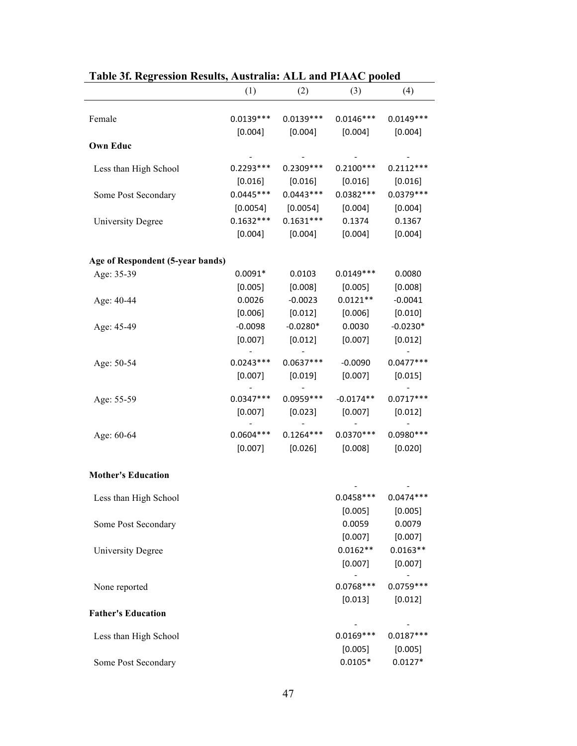| Table 31. Regression Results, Australia: ALL and PIAAC pooled |             |                       |             |                       |
|---------------------------------------------------------------|-------------|-----------------------|-------------|-----------------------|
|                                                               | (1)         | (2)                   | (3)         | (4)                   |
| Female                                                        | $0.0139***$ | $0.0139***$           | $0.0146***$ | $0.0149***$           |
|                                                               | [0.004]     | [0.004]               | [0.004]     | [0.004]               |
| <b>Own Educ</b>                                               |             |                       |             |                       |
|                                                               |             |                       |             |                       |
| Less than High School                                         | $0.2293***$ | $0.2309***$           | $0.2100***$ | $0.2112***$           |
|                                                               | [0.016]     | [0.016]               | [0.016]     | [0.016]               |
| Some Post Secondary                                           | $0.0445***$ | $0.0443***$           | $0.0382***$ | $0.0379***$           |
|                                                               |             | $[0.0054]$ $[0.0054]$ | [0.004]     | [0.004]               |
| <b>University Degree</b>                                      | $0.1632***$ | $0.1631***$           | 0.1374      | 0.1367                |
|                                                               | [0.004]     | [0.004]               | [0.004]     | [0.004]               |
| Age of Respondent (5-year bands)                              |             |                       |             |                       |
| Age: 35-39                                                    | $0.0091*$   | 0.0103                | $0.0149***$ | 0.0080                |
|                                                               | [0.005]     | [0.008]               | [0.005]     | [0.008]               |
| Age: 40-44                                                    | 0.0026      | $-0.0023$             | $0.0121**$  | $-0.0041$             |
|                                                               | [0.006]     | [0.012]               | [0.006]     | [0.010]               |
| Age: 45-49                                                    | $-0.0098$   | $-0.0280*$            | 0.0030      | $-0.0230*$            |
|                                                               | [0.007]     | [0.012]               | [0.007]     | [0.012]               |
|                                                               |             |                       |             |                       |
| Age: 50-54                                                    | $0.0243***$ | $0.0637***$           | $-0.0090$   | $0.0477***$           |
|                                                               | [0.007]     | [0.019]               | [0.007]     | [0.015]               |
| Age: 55-59                                                    | $0.0347***$ | $0.0959***$           | $-0.0174**$ | $0.0717***$           |
|                                                               | [0.007]     | [0.023]               | [0.007]     | [0.012]               |
| Age: 60-64                                                    | $0.0604***$ | $0.1264***$           | $0.0370***$ | $\sim$<br>$0.0980***$ |
|                                                               | [0.007]     | [0.026]               | [0.008]     | [0.020]               |
|                                                               |             |                       |             |                       |
| <b>Mother's Education</b>                                     |             |                       |             |                       |
| Less than High School                                         |             |                       |             | $0.0458***$ 0.0474*** |
|                                                               |             |                       | [0.005]     | [0.005]               |
| Some Post Secondary                                           |             |                       | 0.0059      | 0.0079                |
|                                                               |             |                       | [0.007]     | [0.007]               |
| <b>University Degree</b>                                      |             |                       | $0.0162**$  | $0.0163**$            |
|                                                               |             |                       | [0.007]     | [0.007]               |
|                                                               |             |                       |             |                       |
| None reported                                                 |             |                       | $0.0768***$ | $0.0759***$           |
|                                                               |             |                       | [0.013]     | [0.012]               |
| <b>Father's Education</b>                                     |             |                       |             |                       |
| Less than High School                                         |             |                       | $0.0169***$ | $0.0187***$           |
|                                                               |             |                       | [0.005]     | [0.005]               |
| Some Post Secondary                                           |             |                       | $0.0105*$   | $0.0127*$             |
|                                                               |             |                       |             |                       |

**Table 3f. Regression Results, Australia: ALL and PIAAC pooled**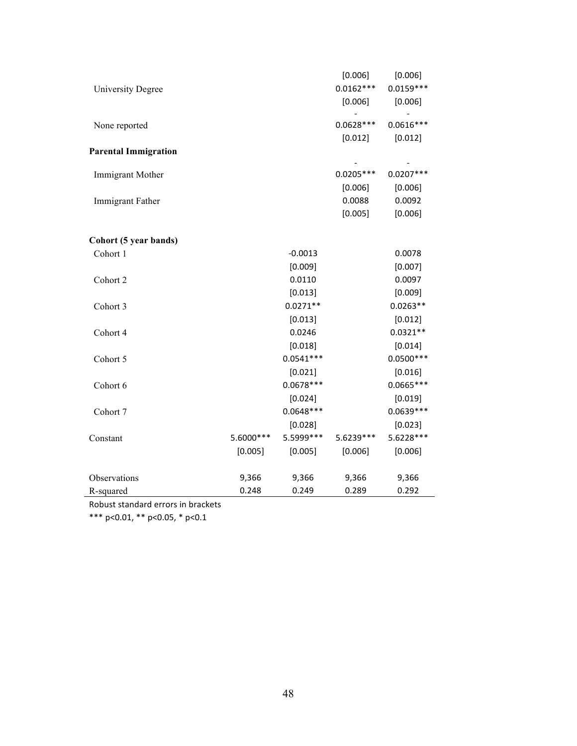| <b>University Degree</b>    |            |             | [0.006]<br>$0.0162***$<br>[0.006] | [0.006]<br>$0.0159***$<br>[0.006] |
|-----------------------------|------------|-------------|-----------------------------------|-----------------------------------|
| None reported               |            |             | $0.0628***$<br>[0.012]            | $0.0616***$<br>[0.012]            |
| <b>Parental Immigration</b> |            |             |                                   |                                   |
| Immigrant Mother            |            |             | $0.0205***$<br>[0.006]            | $0.0207***$<br>[0.006]            |
| Immigrant Father            |            |             | 0.0088<br>[0.005]                 | 0.0092<br>[0.006]                 |
| Cohort (5 year bands)       |            |             |                                   |                                   |
| Cohort 1                    |            | $-0.0013$   |                                   | 0.0078                            |
|                             |            | [0.009]     |                                   | [0.007]                           |
| Cohort 2                    |            | 0.0110      |                                   | 0.0097                            |
|                             |            | [0.013]     |                                   | [0.009]                           |
| Cohort 3                    |            | $0.0271**$  |                                   | $0.0263**$                        |
|                             |            | [0.013]     |                                   | [0.012]                           |
| Cohort 4                    |            | 0.0246      |                                   | $0.0321**$                        |
|                             |            | [0.018]     |                                   | [0.014]                           |
| Cohort 5                    |            | $0.0541***$ |                                   | $0.0500***$                       |
|                             |            | [0.021]     |                                   | [0.016]                           |
| Cohort 6                    |            | $0.0678***$ |                                   | $0.0665***$                       |
|                             |            | [0.024]     |                                   | [0.019]                           |
| Cohort 7                    |            | $0.0648***$ |                                   | $0.0639***$                       |
|                             |            | [0.028]     |                                   | [0.023]                           |
| Constant                    | 5.6000 *** | 5.5999 ***  | 5.6239 ***                        | 5.6228***                         |
|                             | [0.005]    | [0.005]     | [0.006]                           | [0.006]                           |
| Observations                | 9,366      | 9,366       | 9,366                             | 9,366                             |
| R-squared                   | 0.248      | 0.249       | 0.289                             |                                   |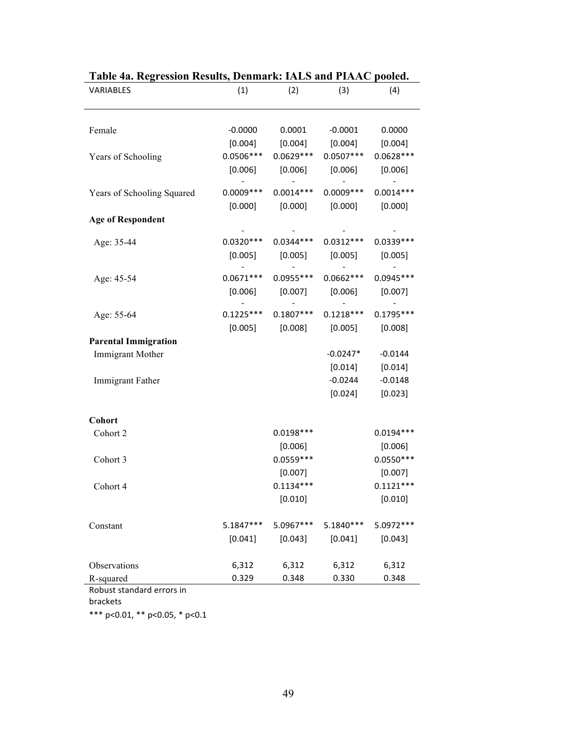| VARIABLES                   | (1)         | (2)         | (3)                 | (4)         |
|-----------------------------|-------------|-------------|---------------------|-------------|
|                             |             |             |                     |             |
| Female                      | $-0.0000$   | 0.0001      | $-0.0001$           | 0.0000      |
|                             | [0.004]     |             | $[0.004]$ $[0.004]$ | [0.004]     |
| Years of Schooling          | $0.0506***$ | $0.0629***$ | $0.0507***$         | $0.0628***$ |
|                             | [0.006]     | [0.006]     | [0.006]             | [0.006]     |
| Years of Schooling Squared  | $0.0009***$ | $0.0014***$ | $0.0009***$         | $0.0014***$ |
|                             | [0.000]     | [0.000]     | [0.000]             | [0.000]     |
| <b>Age of Respondent</b>    |             |             |                     |             |
| Age: 35-44                  | $0.0320***$ | $0.0344***$ | $0.0312***$         | $0.0339***$ |
|                             | [0.005]     | $[0.005]$   | [0.005]             | [0.005]     |
|                             |             |             |                     |             |
| Age: 45-54                  | $0.0671***$ | $0.0955***$ | $0.0662***$         | $0.0945***$ |
|                             | [0.006]     | [0.007]     | [0.006]             | [0.007]     |
| Age: 55-64                  | $0.1225***$ | $0.1807***$ | $0.1218***$         | $0.1795***$ |
|                             | [0.005]     |             | $[0.008]$ $[0.005]$ | [0.008]     |
| <b>Parental Immigration</b> |             |             |                     |             |
| Immigrant Mother            |             |             | $-0.0247*$          | $-0.0144$   |
|                             |             |             | [0.014]             | [0.014]     |
| Immigrant Father            |             |             | $-0.0244$           | $-0.0148$   |
|                             |             |             | [0.024]             | [0.023]     |
| Cohort                      |             |             |                     |             |
| Cohort 2                    |             | $0.0198***$ |                     | $0.0194***$ |
|                             |             | [0.006]     |                     | [0.006]     |
| Cohort 3                    |             | $0.0559***$ |                     | $0.0550***$ |
|                             |             | [0.007]     |                     | [0.007]     |
| Cohort 4                    |             | $0.1134***$ |                     | $0.1121***$ |
|                             |             | [0.010]     |                     | [0.010]     |
| Constant                    | 5.1847***   | 5.0967***   | 5.1840***           | 5.0972 ***  |
|                             |             |             |                     |             |
|                             | [0.041]     | [0.043]     | [0.041]             | [0.043]     |
| Observations                | 6,312       | 6,312       | 6,312               | 6,312       |
| R-squared                   | 0.329       | 0.348       | 0.330               | 0.348       |
| Robust standard errors in   |             |             |                     |             |

| Table 4a. Regression Results, Denmark: IALS and PIAAC pooled. |  |  |  |
|---------------------------------------------------------------|--|--|--|
|                                                               |  |  |  |

brackets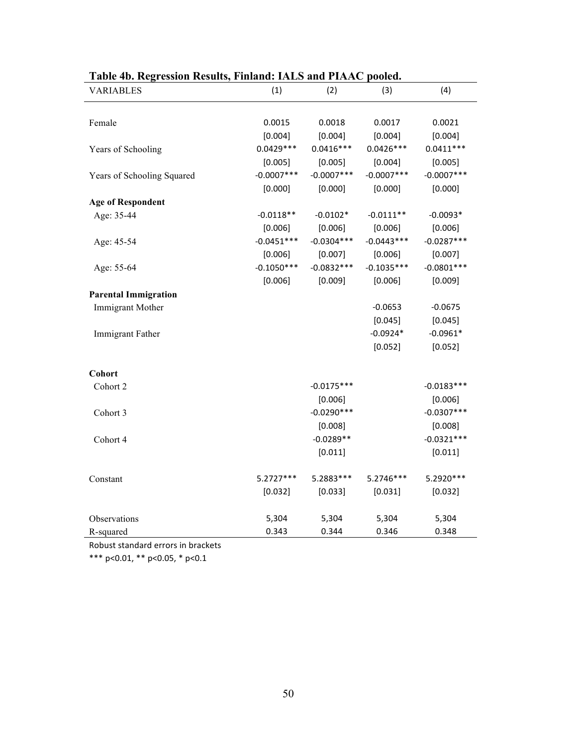| radic Fo. Regression Results, Filianu. IALD and I IAAC pooleu.<br><b>VARIABLES</b> | (1)           | (2)           | (3)          | (4)          |
|------------------------------------------------------------------------------------|---------------|---------------|--------------|--------------|
|                                                                                    |               |               |              |              |
| Female                                                                             | 0.0015        | 0.0018        | 0.0017       | 0.0021       |
|                                                                                    | [0.004]       | [0.004]       | [0.004]      | [0.004]      |
| Years of Schooling                                                                 | $0.0429***$   | $0.0416***$   | $0.0426***$  | $0.0411***$  |
|                                                                                    | [0.005]       | [0.005]       | [0.004]      | [0.005]      |
| Years of Schooling Squared                                                         | $-0.0007$ *** | $-0.0007$ *** | $-0.0007***$ | $-0.0007***$ |
|                                                                                    | [0.000]       | [0.000]       | [0.000]      | [0.000]      |
| <b>Age of Respondent</b>                                                           |               |               |              |              |
| Age: 35-44                                                                         | $-0.0118**$   | $-0.0102*$    | $-0.0111**$  | $-0.0093*$   |
|                                                                                    | [0.006]       | [0.006]       | [0.006]      | [0.006]      |
| Age: 45-54                                                                         | $-0.0451***$  | $-0.0304***$  | $-0.0443***$ | $-0.0287***$ |
|                                                                                    | [0.006]       | [0.007]       | [0.006]      | [0.007]      |
| Age: 55-64                                                                         | $-0.1050***$  | $-0.0832***$  | $-0.1035***$ | $-0.0801***$ |
|                                                                                    | [0.006]       | [0.009]       | [0.006]      | [0.009]      |
| <b>Parental Immigration</b>                                                        |               |               |              |              |
| <b>Immigrant Mother</b>                                                            |               |               | $-0.0653$    | $-0.0675$    |
|                                                                                    |               |               | [0.045]      | [0.045]      |
| Immigrant Father                                                                   |               |               | $-0.0924*$   | $-0.0961*$   |
|                                                                                    |               |               | [0.052]      | [0.052]      |
|                                                                                    |               |               |              |              |
| Cohort                                                                             |               |               |              |              |
| Cohort 2                                                                           |               | $-0.0175***$  |              | $-0.0183***$ |
|                                                                                    |               | [0.006]       |              | [0.006]      |
| Cohort 3                                                                           |               | $-0.0290***$  |              | $-0.0307***$ |
|                                                                                    |               | [0.008]       |              | [0.008]      |
| Cohort 4                                                                           |               | $-0.0289**$   |              | $-0.0321***$ |
|                                                                                    |               | [0.011]       |              | [0.011]      |
| Constant                                                                           | 5.2727***     | 5.2883 ***    | 5.2746***    | 5.2920 ***   |
|                                                                                    | [0.032]       | [0.033]       | [0.031]      | [0.032]      |
|                                                                                    |               |               |              |              |
| Observations                                                                       | 5,304         | 5,304         | 5,304        | 5,304        |
| R-squared                                                                          | 0.343         | 0.344         | 0.346        | 0.348        |

## **Table 4b. Regression Results, Finland: IALS and PIAAC pooled.**

Robust standard errors in brackets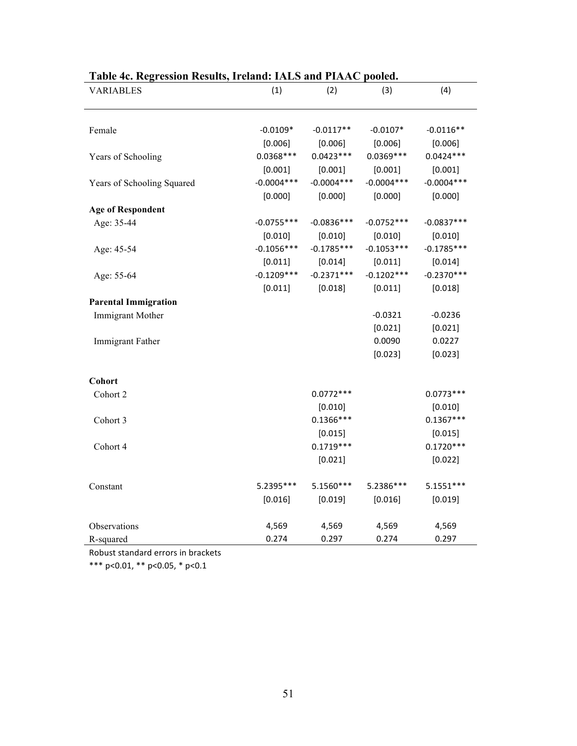| radic FC. Kegi essibir Kesuns, freianu. TALD anu f fAAC pooleu.<br><b>VARIABLES</b> | (1)                     | (2)                     | (3)                     | (4)                     |
|-------------------------------------------------------------------------------------|-------------------------|-------------------------|-------------------------|-------------------------|
|                                                                                     |                         |                         |                         |                         |
| Female                                                                              | $-0.0109*$              | $-0.0117**$             | $-0.0107*$              | $-0.0116**$             |
|                                                                                     | [0.006]                 | [0.006]                 | [0.006]                 | [0.006]                 |
|                                                                                     | $0.0368***$             | $0.0423***$             | $0.0369***$             | $0.0424***$             |
| Years of Schooling                                                                  | [0.001]                 | [0.001]                 | [0.001]                 | [0.001]                 |
|                                                                                     | $-0.0004***$            | $-0.0004***$            | $-0.0004***$            | $-0.0004***$            |
| Years of Schooling Squared                                                          |                         |                         |                         |                         |
|                                                                                     | [0.000]                 | [0.000]                 | [0.000]                 | [0.000]                 |
| <b>Age of Respondent</b>                                                            | $-0.0755***$            | $-0.0836***$            | $-0.0752***$            | $-0.0837***$            |
| Age: 35-44                                                                          |                         |                         |                         |                         |
|                                                                                     | [0.010]<br>$-0.1056***$ | [0.010]<br>$-0.1785***$ | [0.010]<br>$-0.1053***$ | [0.010]<br>$-0.1785***$ |
| Age: 45-54                                                                          |                         |                         |                         |                         |
|                                                                                     | [0.011]<br>$-0.1209***$ | [0.014]<br>$-0.2371***$ | [0.011]<br>$-0.1202***$ | [0.014]<br>$-0.2370***$ |
| Age: 55-64                                                                          |                         |                         |                         |                         |
|                                                                                     | [0.011]                 | [0.018]                 | [0.011]                 | [0.018]                 |
| <b>Parental Immigration</b>                                                         |                         |                         | $-0.0321$               | $-0.0236$               |
| Immigrant Mother                                                                    |                         |                         |                         |                         |
|                                                                                     |                         |                         | [0.021]<br>0.0090       | [0.021]<br>0.0227       |
| Immigrant Father                                                                    |                         |                         |                         |                         |
|                                                                                     |                         |                         | [0.023]                 | [0.023]                 |
| Cohort                                                                              |                         |                         |                         |                         |
| Cohort 2                                                                            |                         | $0.0772***$             |                         | $0.0773***$             |
|                                                                                     |                         | [0.010]                 |                         | [0.010]                 |
| Cohort 3                                                                            |                         | $0.1366***$             |                         | $0.1367***$             |
|                                                                                     |                         | [0.015]                 |                         | [0.015]                 |
| Cohort 4                                                                            |                         | $0.1719***$             |                         | $0.1720***$             |
|                                                                                     |                         | [0.021]                 |                         | [0.022]                 |
|                                                                                     |                         |                         |                         |                         |
| Constant                                                                            | 5.2395***               | 5.1560***               | 5.2386***               | $5.1551***$             |
|                                                                                     | [0.016]                 | [0.019]                 | [0.016]                 | [0.019]                 |
|                                                                                     |                         |                         |                         |                         |
| Observations                                                                        | 4,569                   | 4,569                   | 4,569                   | 4,569                   |
| R-squared                                                                           | 0.274                   | 0.297                   | 0.274                   | 0.297                   |

## **Table 4c. Regression Results, Ireland: IALS and PIAAC pooled.**

Robust standard errors in brackets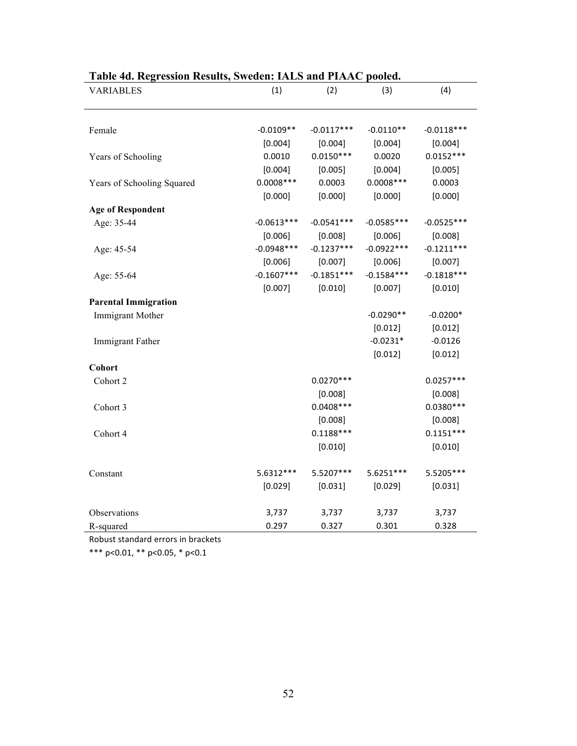| <b>VARIABLES</b>            | (1)          | (2)          | (3)          | (4)          |
|-----------------------------|--------------|--------------|--------------|--------------|
|                             |              |              |              |              |
| Female                      | $-0.0109**$  | $-0.0117***$ | $-0.0110**$  | $-0.0118***$ |
|                             | [0.004]      | [0.004]      | [0.004]      | [0.004]      |
| Years of Schooling          | 0.0010       | $0.0150***$  | 0.0020       | $0.0152***$  |
|                             | [0.004]      | [0.005]      | [0.004]      | [0.005]      |
| Years of Schooling Squared  | $0.0008***$  | 0.0003       | $0.0008***$  | 0.0003       |
|                             | [0.000]      | [0.000]      | [0.000]      | [0.000]      |
| <b>Age of Respondent</b>    |              |              |              |              |
| Age: 35-44                  | $-0.0613***$ | $-0.0541***$ | $-0.0585***$ | $-0.0525***$ |
|                             | [0.006]      | [0.008]      | [0.006]      | [0.008]      |
| Age: 45-54                  | $-0.0948***$ | $-0.1237***$ | $-0.0922***$ | $-0.1211***$ |
|                             | [0.006]      | [0.007]      | [0.006]      | [0.007]      |
| Age: 55-64                  | $-0.1607***$ | $-0.1851***$ | $-0.1584***$ | $-0.1818***$ |
|                             | [0.007]      | [0.010]      | [0.007]      | [0.010]      |
| <b>Parental Immigration</b> |              |              |              |              |
| Immigrant Mother            |              |              | $-0.0290**$  | $-0.0200*$   |
|                             |              |              | [0.012]      | [0.012]      |
| Immigrant Father            |              |              | $-0.0231*$   | $-0.0126$    |
|                             |              |              | [0.012]      | [0.012]      |
| Cohort                      |              |              |              |              |
| Cohort 2                    |              | $0.0270***$  |              | $0.0257***$  |
|                             |              | [0.008]      |              | [0.008]      |
| Cohort 3                    |              | $0.0408***$  |              | $0.0380***$  |
|                             |              | [0.008]      |              | [0.008]      |
| Cohort 4                    |              | $0.1188***$  |              | $0.1151***$  |
|                             |              | [0.010]      |              | [0.010]      |
| Constant                    | 5.6312 ***   | 5.5207***    | 5.6251 ***   | 5.5205***    |
|                             | [0.029]      | [0.031]      | [0.029]      | [0.031]      |
|                             |              |              |              |              |
| Observations                | 3,737        | 3,737        | 3,737        | 3,737        |
| R-squared                   | 0.297        | 0.327        | 0.301        | 0.328        |

## **Table 4d. Regression Results, Sweden: IALS and PIAAC pooled.**

Robust standard errors in brackets